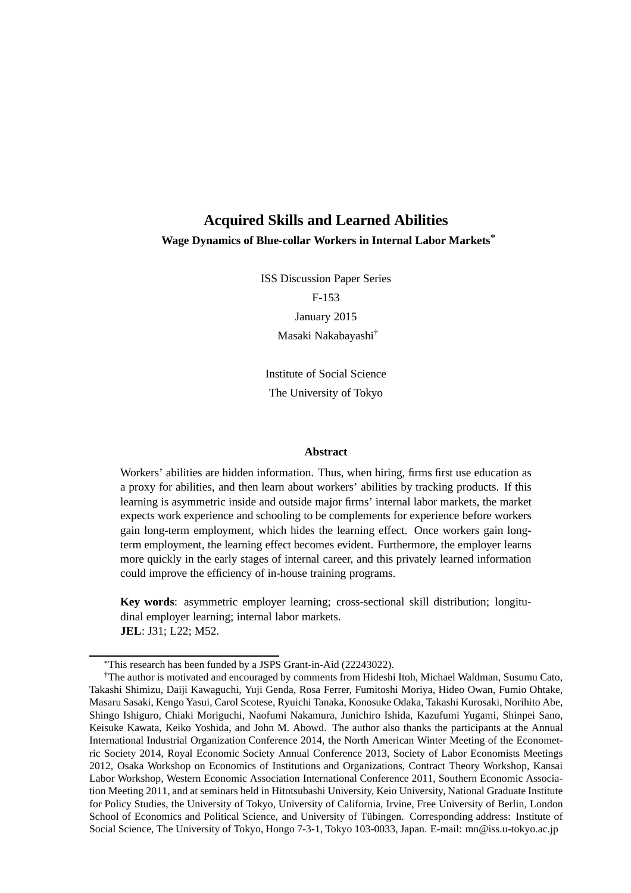## **Acquired Skills and Learned Abilities Wage Dynamics of Blue-collar Workers in Internal Labor Markets**\*

ISS Discussion Paper Series

F-153 January 2015 Masaki Nakabayashi†

Institute of Social Science The University of Tokyo

#### **Abstract**

Workers' abilities are hidden information. Thus, when hiring, firms first use education as a proxy for abilities, and then learn about workers' abilities by tracking products. If this learning is asymmetric inside and outside major firms' internal labor markets, the market expects work experience and schooling to be complements for experience before workers gain long-term employment, which hides the learning effect. Once workers gain longterm employment, the learning effect becomes evident. Furthermore, the employer learns more quickly in the early stages of internal career, and this privately learned information could improve the efficiency of in-house training programs.

**Key words**: asymmetric employer learning; cross-sectional skill distribution; longitudinal employer learning; internal labor markets. **JEL**: J31; L22; M52.

<sup>\*</sup>This research has been funded by a JSPS Grant-in-Aid (22243022).

<sup>†</sup>The author is motivated and encouraged by comments from Hideshi Itoh, Michael Waldman, Susumu Cato, Takashi Shimizu, Daiji Kawaguchi, Yuji Genda, Rosa Ferrer, Fumitoshi Moriya, Hideo Owan, Fumio Ohtake, Masaru Sasaki, Kengo Yasui, Carol Scotese, Ryuichi Tanaka, Konosuke Odaka, Takashi Kurosaki, Norihito Abe, Shingo Ishiguro, Chiaki Moriguchi, Naofumi Nakamura, Junichiro Ishida, Kazufumi Yugami, Shinpei Sano, Keisuke Kawata, Keiko Yoshida, and John M. Abowd. The author also thanks the participants at the Annual International Industrial Organization Conference 2014, the North American Winter Meeting of the Econometric Society 2014, Royal Economic Society Annual Conference 2013, Society of Labor Economists Meetings 2012, Osaka Workshop on Economics of Institutions and Organizations, Contract Theory Workshop, Kansai Labor Workshop, Western Economic Association International Conference 2011, Southern Economic Association Meeting 2011, and at seminars held in Hitotsubashi University, Keio University, National Graduate Institute for Policy Studies, the University of Tokyo, University of California, Irvine, Free University of Berlin, London School of Economics and Political Science, and University of Tübingen. Corresponding address: Institute of Social Science, The University of Tokyo, Hongo 7-3-1, Tokyo 103-0033, Japan. E-mail: mn@iss.u-tokyo.ac.jp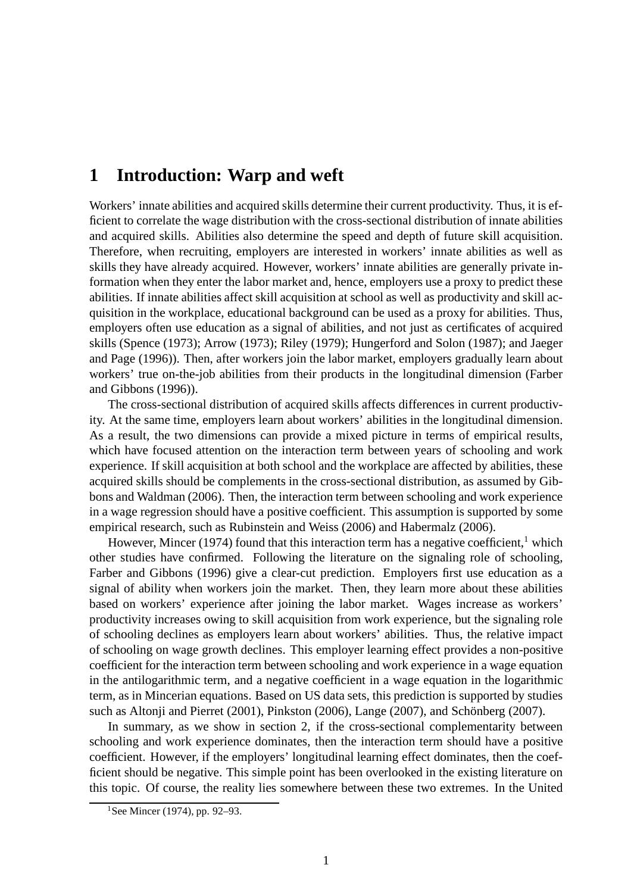## **1 Introduction: Warp and weft**

Workers' innate abilities and acquired skills determine their current productivity. Thus, it is efficient to correlate the wage distribution with the cross-sectional distribution of innate abilities and acquired skills. Abilities also determine the speed and depth of future skill acquisition. Therefore, when recruiting, employers are interested in workers' innate abilities as well as skills they have already acquired. However, workers' innate abilities are generally private information when they enter the labor market and, hence, employers use a proxy to predict these abilities. If innate abilities affect skill acquisition at school as well as productivity and skill acquisition in the workplace, educational background can be used as a proxy for abilities. Thus, employers often use education as a signal of abilities, and not just as certificates of acquired skills (Spence (1973); Arrow (1973); Riley (1979); Hungerford and Solon (1987); and Jaeger and Page (1996)). Then, after workers join the labor market, employers gradually learn about workers' true on-the-job abilities from their products in the longitudinal dimension (Farber and Gibbons (1996)).

The cross-sectional distribution of acquired skills affects differences in current productivity. At the same time, employers learn about workers' abilities in the longitudinal dimension. As a result, the two dimensions can provide a mixed picture in terms of empirical results, which have focused attention on the interaction term between years of schooling and work experience. If skill acquisition at both school and the workplace are affected by abilities, these acquired skills should be complements in the cross-sectional distribution, as assumed by Gibbons and Waldman (2006). Then, the interaction term between schooling and work experience in a wage regression should have a positive coefficient. This assumption is supported by some empirical research, such as Rubinstein and Weiss (2006) and Habermalz (2006).

However, Mincer (1974) found that this interaction term has a negative coefficient,<sup>1</sup> which other studies have confirmed. Following the literature on the signaling role of schooling, Farber and Gibbons (1996) give a clear-cut prediction. Employers first use education as a signal of ability when workers join the market. Then, they learn more about these abilities based on workers' experience after joining the labor market. Wages increase as workers' productivity increases owing to skill acquisition from work experience, but the signaling role of schooling declines as employers learn about workers' abilities. Thus, the relative impact of schooling on wage growth declines. This employer learning effect provides a non-positive coefficient for the interaction term between schooling and work experience in a wage equation in the antilogarithmic term, and a negative coefficient in a wage equation in the logarithmic term, as in Mincerian equations. Based on US data sets, this prediction is supported by studies such as Altonji and Pierret  $(2001)$ , Pinkston  $(2006)$ , Lange  $(2007)$ , and Schönberg  $(2007)$ .

In summary, as we show in section 2, if the cross-sectional complementarity between schooling and work experience dominates, then the interaction term should have a positive coefficient. However, if the employers' longitudinal learning effect dominates, then the coefficient should be negative. This simple point has been overlooked in the existing literature on this topic. Of course, the reality lies somewhere between these two extremes. In the United

<sup>&</sup>lt;sup>1</sup>See Mincer (1974), pp. 92–93.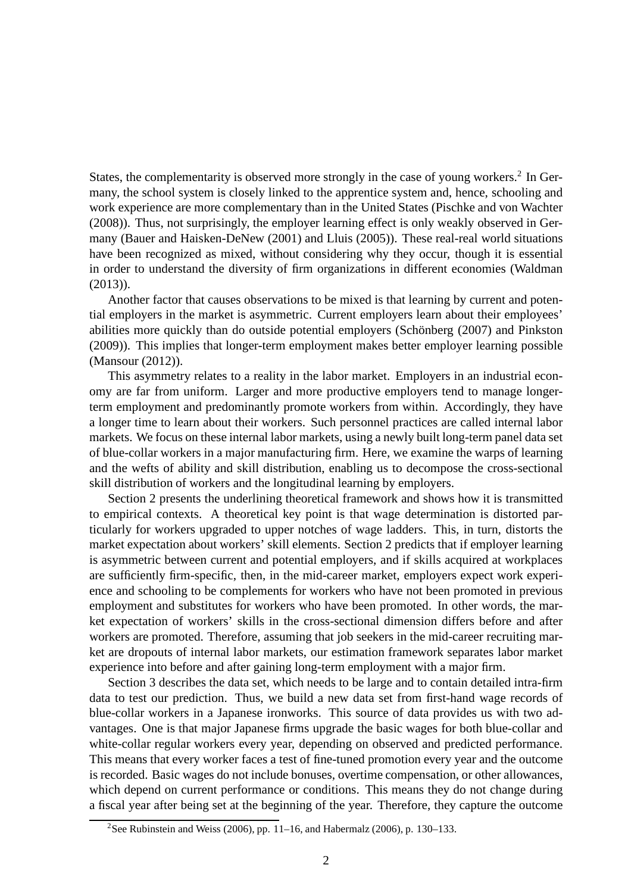States, the complementarity is observed more strongly in the case of young workers.<sup>2</sup> In Germany, the school system is closely linked to the apprentice system and, hence, schooling and work experience are more complementary than in the United States (Pischke and von Wachter (2008)). Thus, not surprisingly, the employer learning effect is only weakly observed in Germany (Bauer and Haisken-DeNew (2001) and Lluis (2005)). These real-real world situations have been recognized as mixed, without considering why they occur, though it is essential in order to understand the diversity of firm organizations in different economies (Waldman (2013)).

Another factor that causes observations to be mixed is that learning by current and potential employers in the market is asymmetric. Current employers learn about their employees' abilities more quickly than do outside potential employers (Schönberg (2007) and Pinkston (2009)). This implies that longer-term employment makes better employer learning possible (Mansour (2012)).

This asymmetry relates to a reality in the labor market. Employers in an industrial economy are far from uniform. Larger and more productive employers tend to manage longerterm employment and predominantly promote workers from within. Accordingly, they have a longer time to learn about their workers. Such personnel practices are called internal labor markets. We focus on these internal labor markets, using a newly built long-term panel data set of blue-collar workers in a major manufacturing firm. Here, we examine the warps of learning and the wefts of ability and skill distribution, enabling us to decompose the cross-sectional skill distribution of workers and the longitudinal learning by employers.

Section 2 presents the underlining theoretical framework and shows how it is transmitted to empirical contexts. A theoretical key point is that wage determination is distorted particularly for workers upgraded to upper notches of wage ladders. This, in turn, distorts the market expectation about workers' skill elements. Section 2 predicts that if employer learning is asymmetric between current and potential employers, and if skills acquired at workplaces are sufficiently firm-specific, then, in the mid-career market, employers expect work experience and schooling to be complements for workers who have not been promoted in previous employment and substitutes for workers who have been promoted. In other words, the market expectation of workers' skills in the cross-sectional dimension differs before and after workers are promoted. Therefore, assuming that job seekers in the mid-career recruiting market are dropouts of internal labor markets, our estimation framework separates labor market experience into before and after gaining long-term employment with a major firm.

Section 3 describes the data set, which needs to be large and to contain detailed intra-firm data to test our prediction. Thus, we build a new data set from first-hand wage records of blue-collar workers in a Japanese ironworks. This source of data provides us with two advantages. One is that major Japanese firms upgrade the basic wages for both blue-collar and white-collar regular workers every year, depending on observed and predicted performance. This means that every worker faces a test of fine-tuned promotion every year and the outcome is recorded. Basic wages do not include bonuses, overtime compensation, or other allowances, which depend on current performance or conditions. This means they do not change during a fiscal year after being set at the beginning of the year. Therefore, they capture the outcome

<sup>&</sup>lt;sup>2</sup>See Rubinstein and Weiss (2006), pp. 11–16, and Habermalz (2006), p. 130–133.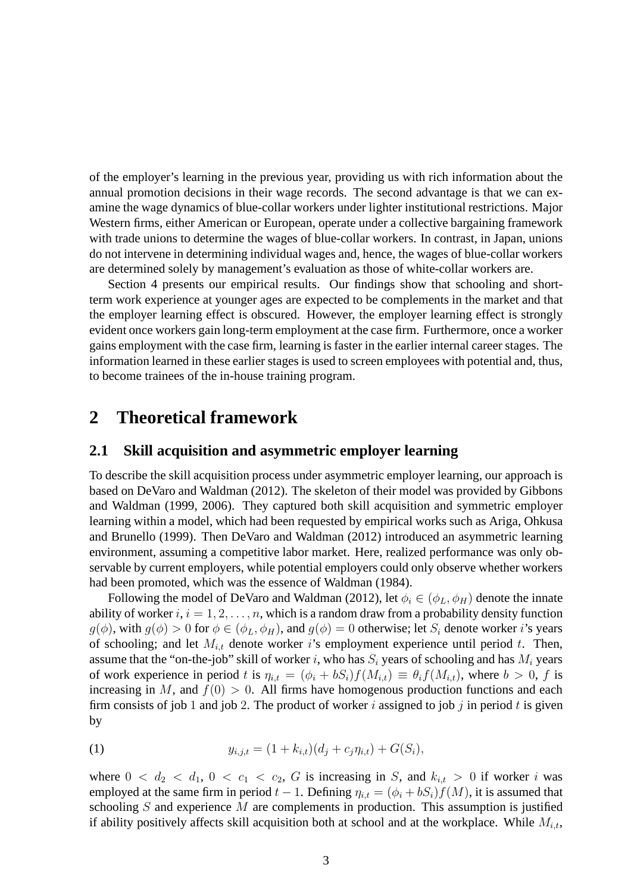of the employer's learning in the previous year, providing us with rich information about the annual promotion decisions in their wage records. The second advantage is that we can examine the wage dynamics of blue-collar workers under lighter institutional restrictions. Major Western firms, either American or European, operate under a collective bargaining framework with trade unions to determine the wages of blue-collar workers. In contrast, in Japan, unions do not intervene in determining individual wages and, hence, the wages of blue-collar workers are determined solely by management's evaluation as those of white-collar workers are.

Section 4 presents our empirical results. Our findings show that schooling and shortterm work experience at younger ages are expected to be complements in the market and that the employer learning effect is obscured. However, the employer learning effect is strongly evident once workers gain long-term employment at the case firm. Furthermore, once a worker gains employment with the case firm, learning is faster in the earlier internal career stages. The information learned in these earlier stages is used to screen employees with potential and, thus, to become trainees of the in-house training program.

## **2 Theoretical framework**

### **2.1 Skill acquisition and asymmetric employer learning**

To describe the skill acquisition process under asymmetric employer learning, our approach is based on DeVaro and Waldman (2012). The skeleton of their model was provided by Gibbons and Waldman (1999, 2006). They captured both skill acquisition and symmetric employer learning within a model, which had been requested by empirical works such as Ariga, Ohkusa and Brunello (1999). Then DeVaro and Waldman (2012) introduced an asymmetric learning environment, assuming a competitive labor market. Here, realized performance was only observable by current employers, while potential employers could only observe whether workers had been promoted, which was the essence of Waldman (1984).

Following the model of DeVaro and Waldman (2012), let  $\phi_i \in (\phi_L, \phi_H)$  denote the innate ability of worker  $i, i = 1, 2, \ldots, n$ , which is a random draw from a probability density function  $g(\phi)$ , with  $g(\phi) > 0$  for  $\phi \in (\phi_L, \phi_H)$ , and  $g(\phi) = 0$  otherwise; let  $S_i$  denote worker i's years of schooling; and let  $M_{i,t}$  denote worker is employment experience until period t. Then, assume that the "on-the-job" skill of worker i, who has  $S_i$  years of schooling and has  $M_i$  years of work experience in period t is  $\eta_{i,t} = (\phi_i + bS_i)f(M_{i,t}) \equiv \theta_i f(M_{i,t})$ , where  $b > 0$ , f is increasing in M, and  $f(0) > 0$ . All firms have homogenous production functions and each firm consists of job 1 and job 2. The product of worker i assigned to job j in period t is given by

(1) 
$$
y_{i,j,t} = (1 + k_{i,t})(d_j + c_j \eta_{i,t}) + G(S_i),
$$

where  $0 < d_2 < d_1, 0 < c_1 < c_2, G$  is increasing in S, and  $k_{i,t} > 0$  if worker i was employed at the same firm in period  $t - 1$ . Defining  $\eta_{i,t} = (\phi_i + bS_i) f(M)$ , it is assumed that schooling  $S$  and experience  $M$  are complements in production. This assumption is justified if ability positively affects skill acquisition both at school and at the workplace. While  $M_{i,t}$ ,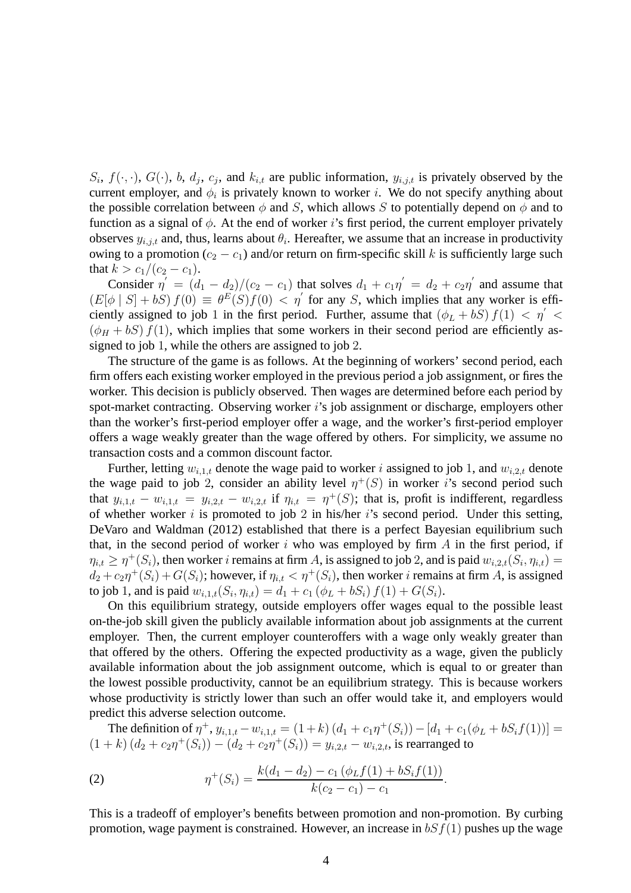$S_i$ ,  $f(\cdot, \cdot)$ ,  $G(\cdot)$ , b,  $d_j$ ,  $c_j$ , and  $k_{i,t}$  are public information,  $y_{i,j,t}$  is privately observed by the current employer, and  $\phi_i$  is privately known to worker i. We do not specify anything about the possible correlation between  $\phi$  and S, which allows S to potentially depend on  $\phi$  and to function as a signal of  $\phi$ . At the end of worker i's first period, the current employer privately observes  $y_{i,j,t}$  and, thus, learns about  $\theta_i$ . Hereafter, we assume that an increase in productivity owing to a promotion ( $c_2 - c_1$ ) and/or return on firm-specific skill k is sufficiently large such that  $k > c_1/(c_2 - c_1)$ .

Consider  $\eta' = (d_1 - d_2)/(c_2 - c_1)$  that solves  $d_1 + c_1 \eta' = d_2 + c_2 \eta'$  and assume that  $(E[\phi | S] + bS) f(0) \equiv \theta^E(S) f(0) < \eta'$  for any S, which implies that any worker is efficiently assigned to job 1 in the first period. Further, assume that  $(\phi_L + bS) f(1) < \eta$  <  $(\phi_H + bS) f(1)$ , which implies that some workers in their second period are efficiently assigned to job 1, while the others are assigned to job 2.

The structure of the game is as follows. At the beginning of workers' second period, each firm offers each existing worker employed in the previous period a job assignment, or fires the worker. This decision is publicly observed. Then wages are determined before each period by spot-market contracting. Observing worker  $i$ 's job assignment or discharge, employers other than the worker's first-period employer offer a wage, and the worker's first-period employer offers a wage weakly greater than the wage offered by others. For simplicity, we assume no transaction costs and a common discount factor.

Further, letting  $w_{i,1,t}$  denote the wage paid to worker i assigned to job 1, and  $w_{i,2,t}$  denote the wage paid to job 2, consider an ability level  $\eta^+(S)$  in worker i's second period such that  $y_{i,1,t} - w_{i,1,t} = y_{i,2,t} - w_{i,2,t}$  if  $\eta_{i,t} = \eta^+(S)$ ; that is, profit is indifferent, regardless of whether worker  $i$  is promoted to job 2 in his/her  $i$ 's second period. Under this setting, DeVaro and Waldman (2012) established that there is a perfect Bayesian equilibrium such that, in the second period of worker  $i$  who was employed by firm  $A$  in the first period, if  $\eta_{i,t} \geq \eta^+(S_i)$ , then worker i remains at firm A, is assigned to job 2, and is paid  $w_{i,2,t}(S_i, \eta_{i,t}) =$  $d_2 + c_2 \eta^+(S_i) + G(S_i)$ ; however, if  $\eta_{i,t} < \eta^+(S_i)$ , then worker *i* remains at firm A, is assigned to job 1, and is paid  $w_{i,1,t}(S_i, \eta_{i,t}) = d_1 + c_1 (\phi_L + bS_i) f(1) + G(S_i)$ .

On this equilibrium strategy, outside employers offer wages equal to the possible least on-the-job skill given the publicly available information about job assignments at the current employer. Then, the current employer counteroffers with a wage only weakly greater than that offered by the others. Offering the expected productivity as a wage, given the publicly available information about the job assignment outcome, which is equal to or greater than the lowest possible productivity, cannot be an equilibrium strategy. This is because workers whose productivity is strictly lower than such an offer would take it, and employers would predict this adverse selection outcome.

The definition of  $\eta^+, y_{i,1,t} - w_{i,1,t} = (1+k) (d_1 + c_1 \eta^+(S_i)) - [d_1 + c_1(\phi_L + bS_i f(1))] =$  $(1 + k) (d_2 + c_2 \eta^+ (S_i)) - (d_2 + c_2 \eta^+ (S_i)) = y_{i,2,t} - w_{i,2,t}$ , is rearranged to

(2) 
$$
\eta^+(S_i) = \frac{k(d_1 - d_2) - c_1(\phi_L f(1) + bS_i f(1))}{k(c_2 - c_1) - c_1}.
$$

This is a tradeoff of employer's benefits between promotion and non-promotion. By curbing promotion, wage payment is constrained. However, an increase in  $bSf(1)$  pushes up the wage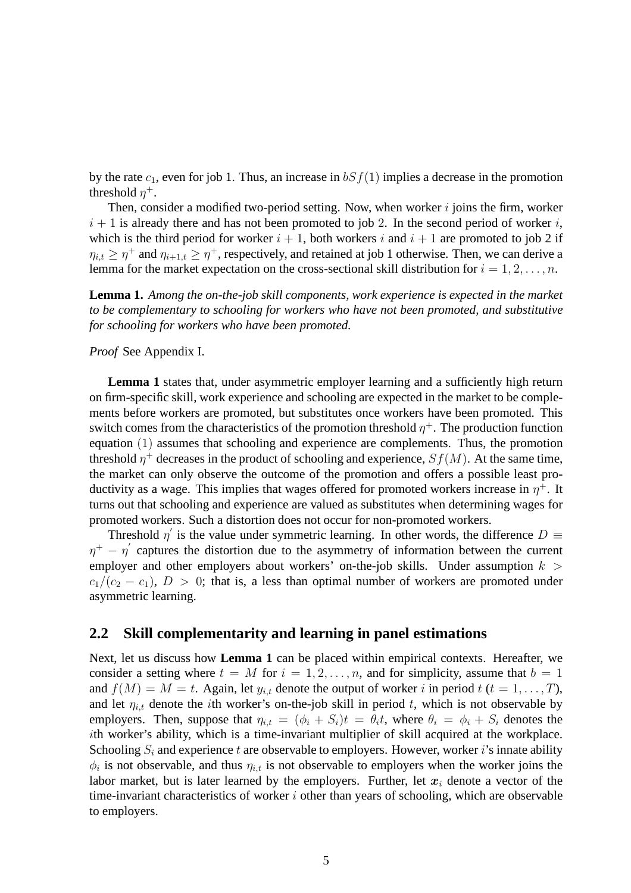by the rate  $c_1$ , even for job 1. Thus, an increase in  $bSf(1)$  implies a decrease in the promotion threshold  $\eta^+$ .

Then, consider a modified two-period setting. Now, when worker  $i$  joins the firm, worker  $i + 1$  is already there and has not been promoted to job 2. In the second period of worker i, which is the third period for worker  $i + 1$ , both workers i and  $i + 1$  are promoted to job 2 if  $\eta_{i,t} \geq \eta^+$  and  $\eta_{i+1,t} \geq \eta^+$ , respectively, and retained at job 1 otherwise. Then, we can derive a lemma for the market expectation on the cross-sectional skill distribution for  $i = 1, 2, \ldots, n$ .

**Lemma 1.** *Among the on-the-job skill components, work experience is expected in the market to be complementary to schooling for workers who have not been promoted, and substitutive for schooling for workers who have been promoted.*

#### *Proof* See Appendix I.

**Lemma 1** states that, under asymmetric employer learning and a sufficiently high return on firm-specific skill, work experience and schooling are expected in the market to be complements before workers are promoted, but substitutes once workers have been promoted. This switch comes from the characteristics of the promotion threshold  $\eta^+$ . The production function equation (1) assumes that schooling and experience are complements. Thus, the promotion threshold  $\eta^+$  decreases in the product of schooling and experience,  $Sf(M)$ . At the same time, the market can only observe the outcome of the promotion and offers a possible least productivity as a wage. This implies that wages offered for promoted workers increase in  $\eta^+$ . It turns out that schooling and experience are valued as substitutes when determining wages for promoted workers. Such a distortion does not occur for non-promoted workers.

Threshold  $\eta'$  is the value under symmetric learning. In other words, the difference  $D \equiv$  $\eta^+ - \eta'$  captures the distortion due to the asymmetry of information between the current employer and other employers about workers' on-the-job skills. Under assumption  $k >$  $c_1/(c_2 - c_1)$ ,  $D > 0$ ; that is, a less than optimal number of workers are promoted under asymmetric learning.

### **2.2 Skill complementarity and learning in panel estimations**

Next, let us discuss how **Lemma 1** can be placed within empirical contexts. Hereafter, we consider a setting where  $t = M$  for  $i = 1, 2, ..., n$ , and for simplicity, assume that  $b = 1$ and  $f(M) = M = t$ . Again, let  $y_{i,t}$  denote the output of worker i in period  $t$   $(t = 1, \ldots, T)$ , and let  $\eta_{i,t}$  denote the *i*th worker's on-the-job skill in period t, which is not observable by employers. Then, suppose that  $\eta_{i,t} = (\phi_i + S_i)t = \theta_i t$ , where  $\theta_i = \phi_i + S_i$  denotes the ith worker's ability, which is a time-invariant multiplier of skill acquired at the workplace. Schooling  $S_i$  and experience t are observable to employers. However, worker i's innate ability  $\phi_i$  is not observable, and thus  $\eta_{i,t}$  is not observable to employers when the worker joins the labor market, but is later learned by the employers. Further, let  $x_i$  denote a vector of the time-invariant characteristics of worker  $i$  other than years of schooling, which are observable to employers.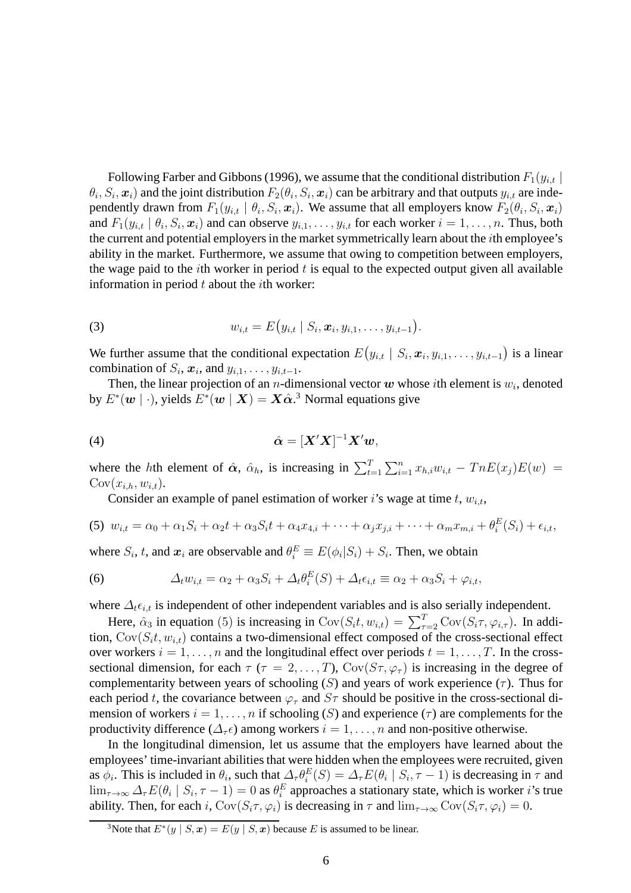Following Farber and Gibbons (1996), we assume that the conditional distribution  $F_1(y_{i,t} |$  $\theta_i$ ,  $S_i$ ,  $\bm{x}_i$ ) and the joint distribution  $F_2(\theta_i, S_i, \bm{x}_i)$  can be arbitrary and that outputs  $y_{i,t}$  are independently drawn from  $F_1(y_{i,t} | \theta_i, S_i, x_i)$ . We assume that all employers know  $F_2(\theta_i, S_i, x_i)$ and  $F_1(y_{i,t} | \theta_i, S_i, x_i)$  and can observe  $y_{i,1}, \ldots, y_{i,t}$  for each worker  $i = 1, \ldots, n$ . Thus, both the current and potential employers in the market symmetrically learn about the ith employee's ability in the market. Furthermore, we assume that owing to competition between employers, the wage paid to the *i*th worker in period  $t$  is equal to the expected output given all available information in period  $t$  about the *i*th worker:

(3) 
$$
w_{i,t} = E(y_{i,t} | S_i, \mathbf{x}_i, y_{i,1}, \dots, y_{i,t-1}).
$$

We further assume that the conditional expectation  $E(y_{i,t} | S_i, x_i, y_{i,1}, \ldots, y_{i,t-1})$  is a linear combination of  $S_i$ ,  $\boldsymbol{x}_i$ , and  $y_{i,1}, \ldots, y_{i,t-1}$ .

Then, the linear projection of an *n*-dimensional vector  $w$  whose *i*th element is  $w_i$ , denoted by  $E^*(w \mid \cdot)$ , yields  $E^*(w \mid X) = X\hat{\alpha}^3$ . Normal equations give

$$
\hat{\boldsymbol{\alpha}} = [\boldsymbol{X}'\boldsymbol{X}]^{-1}\boldsymbol{X}'\boldsymbol{w},
$$

where the hth element of  $\hat{\alpha}$ ,  $\hat{\alpha}_h$ , is increasing in  $\sum_{t=1}^T \sum_{i=1}^n x_{h,i} w_{i,t} - TnE(x_j)E(w)$  =  $Cov(x_{i,h}, w_{i,t}).$ 

Consider an example of panel estimation of worker i's wage at time t,  $w_{i,t}$ ,

(5) 
$$
w_{i,t} = \alpha_0 + \alpha_1 S_i + \alpha_2 t + \alpha_3 S_i t + \alpha_4 x_{4,i} + \cdots + \alpha_j x_{j,i} + \cdots + \alpha_m x_{m,i} + \theta_i^E(S_i) + \epsilon_{i,t}
$$

where  $S_i$ , t, and  $x_i$  are observable and  $\theta_i^E \equiv E(\phi_i|S_i) + S_i$ . Then, we obtain

(6) 
$$
\Delta_t w_{i,t} = \alpha_2 + \alpha_3 S_i + \Delta_t \theta_i^E(S) + \Delta_t \epsilon_{i,t} \equiv \alpha_2 + \alpha_3 S_i + \varphi_{i,t},
$$

where  $\Delta_t \epsilon_{i,t}$  is independent of other independent variables and is also serially independent.

Here,  $\hat{\alpha}_3$  in equation (5) is increasing in  $Cov(S_i t, w_{i,t}) = \sum_{\tau=2}^T Cov(S_i \tau, \varphi_{i,\tau})$ . In addition,  $Cov(S<sub>i</sub>t, w<sub>i,t</sub>)$  contains a two-dimensional effect composed of the cross-sectional effect over workers  $i = 1, \ldots, n$  and the longitudinal effect over periods  $t = 1, \ldots, T$ . In the crosssectional dimension, for each  $\tau$  ( $\tau = 2, \ldots, T$ ), Cov( $S_{\tau}, \varphi_{\tau}$ ) is increasing in the degree of complementarity between years of schooling (S) and years of work experience ( $\tau$ ). Thus for each period t, the covariance between  $\varphi_{\tau}$  and  $S_{\tau}$  should be positive in the cross-sectional dimension of workers  $i = 1, \ldots, n$  if schooling (S) and experience ( $\tau$ ) are complements for the productivity difference ( $\Delta_{\tau} \epsilon$ ) among workers  $i = 1, \ldots, n$  and non-positive otherwise.

In the longitudinal dimension, let us assume that the employers have learned about the employees' time-invariant abilities that were hidden when the employees were recruited, given as  $\phi_i$ . This is included in  $\theta_i$ , such that  $\Delta_{\tau} \theta_i^E(S) = \Delta_{\tau} E(\theta_i \mid S_i, \tau - 1)$  is decreasing in  $\tau$  and  $\lim_{\tau\to\infty}\Delta_{\tau}E(\theta_i \mid S_i, \tau-1)=0$  as  $\theta_i^E$  approaches a stationary state, which is worker *i*'s true ability. Then, for each i,  $Cov(S_i \tau, \varphi_i)$  is decreasing in  $\tau$  and  $\lim_{\tau \to \infty} Cov(S_i \tau, \varphi_i) = 0$ .

<sup>&</sup>lt;sup>3</sup>Note that  $E^*(y \mid S, x) = E(y \mid S, x)$  because E is assumed to be linear.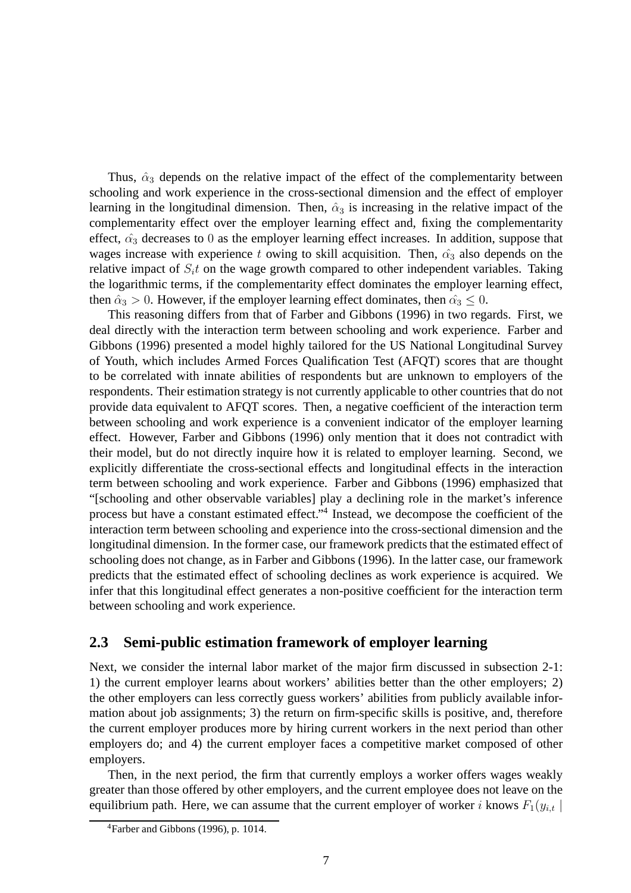Thus,  $\hat{\alpha}_3$  depends on the relative impact of the effect of the complementarity between schooling and work experience in the cross-sectional dimension and the effect of employer learning in the longitudinal dimension. Then,  $\hat{\alpha}_3$  is increasing in the relative impact of the complementarity effect over the employer learning effect and, fixing the complementarity effect,  $\hat{\alpha_3}$  decreases to 0 as the employer learning effect increases. In addition, suppose that wages increase with experience t owing to skill acquisition. Then,  $\hat{\alpha_3}$  also depends on the relative impact of  $S<sub>i</sub>t$  on the wage growth compared to other independent variables. Taking the logarithmic terms, if the complementarity effect dominates the employer learning effect, then  $\hat{\alpha}_3 > 0$ . However, if the employer learning effect dominates, then  $\hat{\alpha_3} \leq 0$ .

This reasoning differs from that of Farber and Gibbons (1996) in two regards. First, we deal directly with the interaction term between schooling and work experience. Farber and Gibbons (1996) presented a model highly tailored for the US National Longitudinal Survey of Youth, which includes Armed Forces Qualification Test (AFQT) scores that are thought to be correlated with innate abilities of respondents but are unknown to employers of the respondents. Their estimation strategy is not currently applicable to other countries that do not provide data equivalent to AFQT scores. Then, a negative coefficient of the interaction term between schooling and work experience is a convenient indicator of the employer learning effect. However, Farber and Gibbons (1996) only mention that it does not contradict with their model, but do not directly inquire how it is related to employer learning. Second, we explicitly differentiate the cross-sectional effects and longitudinal effects in the interaction term between schooling and work experience. Farber and Gibbons (1996) emphasized that "[schooling and other observable variables] play a declining role in the market's inference process but have a constant estimated effect."<sup>4</sup> Instead, we decompose the coefficient of the interaction term between schooling and experience into the cross-sectional dimension and the longitudinal dimension. In the former case, our framework predicts that the estimated effect of schooling does not change, as in Farber and Gibbons (1996). In the latter case, our framework predicts that the estimated effect of schooling declines as work experience is acquired. We infer that this longitudinal effect generates a non-positive coefficient for the interaction term between schooling and work experience.

### **2.3 Semi-public estimation framework of employer learning**

Next, we consider the internal labor market of the major firm discussed in subsection 2-1: 1) the current employer learns about workers' abilities better than the other employers; 2) the other employers can less correctly guess workers' abilities from publicly available information about job assignments; 3) the return on firm-specific skills is positive, and, therefore the current employer produces more by hiring current workers in the next period than other employers do; and 4) the current employer faces a competitive market composed of other employers.

Then, in the next period, the firm that currently employs a worker offers wages weakly greater than those offered by other employers, and the current employee does not leave on the equilibrium path. Here, we can assume that the current employer of worker i knows  $F_1(y_{i,t} |$ 

<sup>4</sup>Farber and Gibbons (1996), p. 1014.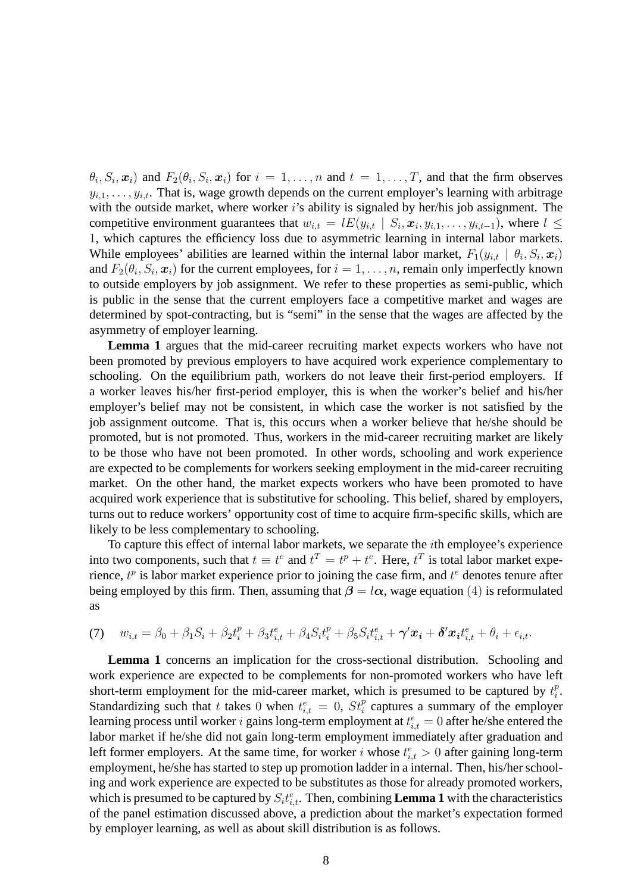$\theta_i, S_i, \mathbf{x}_i$  and  $F_2(\theta_i, S_i, \mathbf{x}_i)$  for  $i = 1, \dots, n$  and  $t = 1, \dots, T$ , and that the firm observes  $y_{i,1}, \ldots, y_{i,t}$ . That is, wage growth depends on the current employer's learning with arbitrage with the outside market, where worker i's ability is signaled by her/his job assignment. The competitive environment guarantees that  $w_{i,t} = lE(y_{i,t} | S_i, x_i, y_{i,1}, \dots, y_{i,t-1})$ , where  $l \leq$ 1, which captures the efficiency loss due to asymmetric learning in internal labor markets. While employees' abilities are learned within the internal labor market,  $F_1(y_{i,t} | \theta_i, S_i, x_i)$ and  $F_2(\theta_i, S_i, \mathbf{x}_i)$  for the current employees, for  $i = 1, \dots, n$ , remain only imperfectly known to outside employers by job assignment. We refer to these properties as semi-public, which is public in the sense that the current employers face a competitive market and wages are determined by spot-contracting, but is "semi" in the sense that the wages are affected by the asymmetry of employer learning.

**Lemma 1** argues that the mid-career recruiting market expects workers who have not been promoted by previous employers to have acquired work experience complementary to schooling. On the equilibrium path, workers do not leave their first-period employers. If a worker leaves his/her first-period employer, this is when the worker's belief and his/her employer's belief may not be consistent, in which case the worker is not satisfied by the job assignment outcome. That is, this occurs when a worker believe that he/she should be promoted, but is not promoted. Thus, workers in the mid-career recruiting market are likely to be those who have not been promoted. In other words, schooling and work experience are expected to be complements for workers seeking employment in the mid-career recruiting market. On the other hand, the market expects workers who have been promoted to have acquired work experience that is substitutive for schooling. This belief, shared by employers, turns out to reduce workers' opportunity cost of time to acquire firm-specific skills, which are likely to be less complementary to schooling.

To capture this effect of internal labor markets, we separate the ith employee's experience into two components, such that  $t \equiv t^e$  and  $t^T = t^p + t^e$ . Here,  $t^T$  is total labor market experience,  $t^p$  is labor market experience prior to joining the case firm, and  $t^e$  denotes tenure after being employed by this firm. Then, assuming that  $\beta = l\alpha$ , wage equation (4) is reformulated as

(7) 
$$
w_{i,t} = \beta_0 + \beta_1 S_i + \beta_2 t_i^p + \beta_3 t_{i,t}^e + \beta_4 S_i t_i^p + \beta_5 S_i t_{i,t}^e + \gamma' x_i + \delta' x_i t_{i,t}^e + \theta_i + \epsilon_{i,t}.
$$

**Lemma 1** concerns an implication for the cross-sectional distribution. Schooling and work experience are expected to be complements for non-promoted workers who have left short-term employment for the mid-career market, which is presumed to be captured by  $t_i^p$  $\frac{p}{i}$ . Standardizing such that t takes 0 when  $t_{i,t}^e = 0$ ,  $St_i^p$  captures a summary of the employer learning process until worker i gains long-term employment at  $t_{i,t}^e = 0$  after he/she entered the labor market if he/she did not gain long-term employment immediately after graduation and left former employers. At the same time, for worker i whose  $t_{i,t}^e > 0$  after gaining long-term employment, he/she has started to step up promotion ladder in a internal. Then, his/her schooling and work experience are expected to be substitutes as those for already promoted workers, which is presumed to be captured by  $S_i t_{i,t}^e$ . Then, combining **Lemma 1** with the characteristics of the panel estimation discussed above, a prediction about the market's expectation formed by employer learning, as well as about skill distribution is as follows.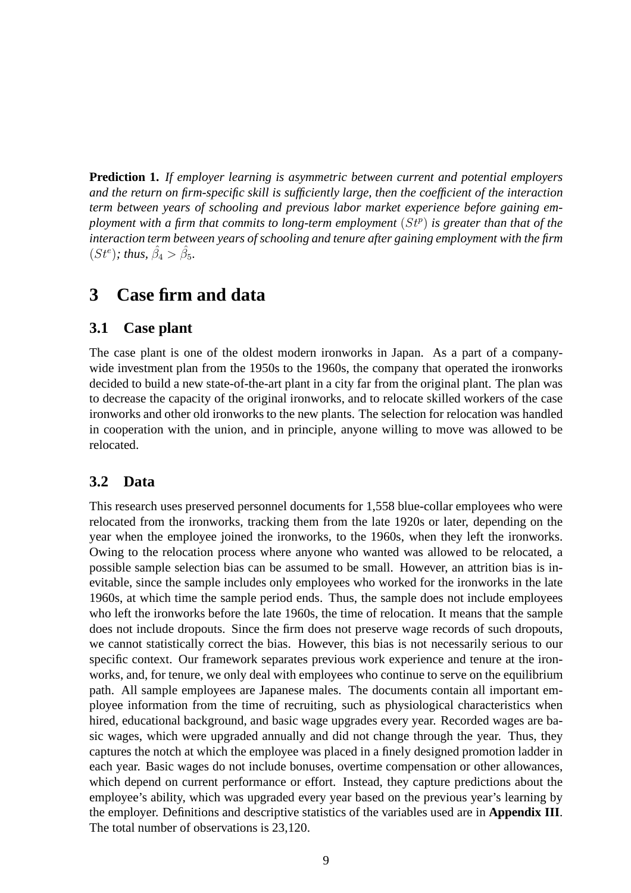**Prediction 1.** *If employer learning is asymmetric between current and potential employers and the return on firm-specific skill is sufficiently large, then the coefficient of the interaction term between years of schooling and previous labor market experience before gaining em*ployment with a firm that commits to long-term employment  $(St<sup>p</sup>)$  is greater than that of the *interaction term between years of schooling and tenure after gaining employment with the firm*  $(St^e)$ ; thus,  $\hat{\beta}_4 > \hat{\beta}_5$ .

## **3 Case firm and data**

### **3.1 Case plant**

The case plant is one of the oldest modern ironworks in Japan. As a part of a companywide investment plan from the 1950s to the 1960s, the company that operated the ironworks decided to build a new state-of-the-art plant in a city far from the original plant. The plan was to decrease the capacity of the original ironworks, and to relocate skilled workers of the case ironworks and other old ironworks to the new plants. The selection for relocation was handled in cooperation with the union, and in principle, anyone willing to move was allowed to be relocated.

### **3.2 Data**

This research uses preserved personnel documents for 1,558 blue-collar employees who were relocated from the ironworks, tracking them from the late 1920s or later, depending on the year when the employee joined the ironworks, to the 1960s, when they left the ironworks. Owing to the relocation process where anyone who wanted was allowed to be relocated, a possible sample selection bias can be assumed to be small. However, an attrition bias is inevitable, since the sample includes only employees who worked for the ironworks in the late 1960s, at which time the sample period ends. Thus, the sample does not include employees who left the ironworks before the late 1960s, the time of relocation. It means that the sample does not include dropouts. Since the firm does not preserve wage records of such dropouts, we cannot statistically correct the bias. However, this bias is not necessarily serious to our specific context. Our framework separates previous work experience and tenure at the ironworks, and, for tenure, we only deal with employees who continue to serve on the equilibrium path. All sample employees are Japanese males. The documents contain all important employee information from the time of recruiting, such as physiological characteristics when hired, educational background, and basic wage upgrades every year. Recorded wages are basic wages, which were upgraded annually and did not change through the year. Thus, they captures the notch at which the employee was placed in a finely designed promotion ladder in each year. Basic wages do not include bonuses, overtime compensation or other allowances, which depend on current performance or effort. Instead, they capture predictions about the employee's ability, which was upgraded every year based on the previous year's learning by the employer. Definitions and descriptive statistics of the variables used are in **Appendix III**. The total number of observations is 23,120.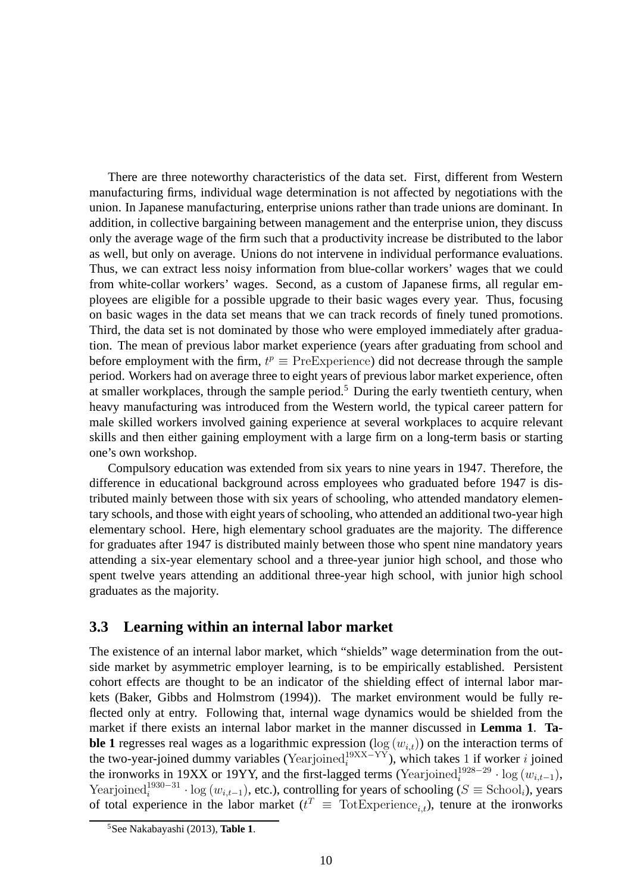There are three noteworthy characteristics of the data set. First, different from Western manufacturing firms, individual wage determination is not affected by negotiations with the union. In Japanese manufacturing, enterprise unions rather than trade unions are dominant. In addition, in collective bargaining between management and the enterprise union, they discuss only the average wage of the firm such that a productivity increase be distributed to the labor as well, but only on average. Unions do not intervene in individual performance evaluations. Thus, we can extract less noisy information from blue-collar workers' wages that we could from white-collar workers' wages. Second, as a custom of Japanese firms, all regular employees are eligible for a possible upgrade to their basic wages every year. Thus, focusing on basic wages in the data set means that we can track records of finely tuned promotions. Third, the data set is not dominated by those who were employed immediately after graduation. The mean of previous labor market experience (years after graduating from school and before employment with the firm,  $t^p \equiv \text{PreExperience}$ ) did not decrease through the sample period. Workers had on average three to eight years of previous labor market experience, often at smaller workplaces, through the sample period.<sup>5</sup> During the early twentieth century, when heavy manufacturing was introduced from the Western world, the typical career pattern for male skilled workers involved gaining experience at several workplaces to acquire relevant skills and then either gaining employment with a large firm on a long-term basis or starting one's own workshop.

Compulsory education was extended from six years to nine years in 1947. Therefore, the difference in educational background across employees who graduated before 1947 is distributed mainly between those with six years of schooling, who attended mandatory elementary schools, and those with eight years of schooling, who attended an additional two-year high elementary school. Here, high elementary school graduates are the majority. The difference for graduates after 1947 is distributed mainly between those who spent nine mandatory years attending a six-year elementary school and a three-year junior high school, and those who spent twelve years attending an additional three-year high school, with junior high school graduates as the majority.

### **3.3 Learning within an internal labor market**

The existence of an internal labor market, which "shields" wage determination from the outside market by asymmetric employer learning, is to be empirically established. Persistent cohort effects are thought to be an indicator of the shielding effect of internal labor markets (Baker, Gibbs and Holmstrom (1994)). The market environment would be fully reflected only at entry. Following that, internal wage dynamics would be shielded from the market if there exists an internal labor market in the manner discussed in **Lemma 1**. **Table 1** regresses real wages as a logarithmic expression ( $\log(w_{i,t})$ ) on the interaction terms of the two-year-joined dummy variables (Yearjoined<sup>19XX–YY</sup>), which takes 1 if worker *i* joined the ironworks in 19XX or 19YY, and the first-lagged terms (Yearjoined<sup>1928–29</sup> · log ( $w_{i,t-1}$ ), Yearjoined<sup>1930–31</sup> · log ( $w_{i,t-1}$ ), etc.), controlling for years of schooling ( $S \equiv$  School<sub>i</sub>), years of total experience in the labor market ( $t^T \equiv \text{TotExperience}_{i,t}$ ), tenure at the ironworks

<sup>5</sup>See Nakabayashi (2013), **Table 1**.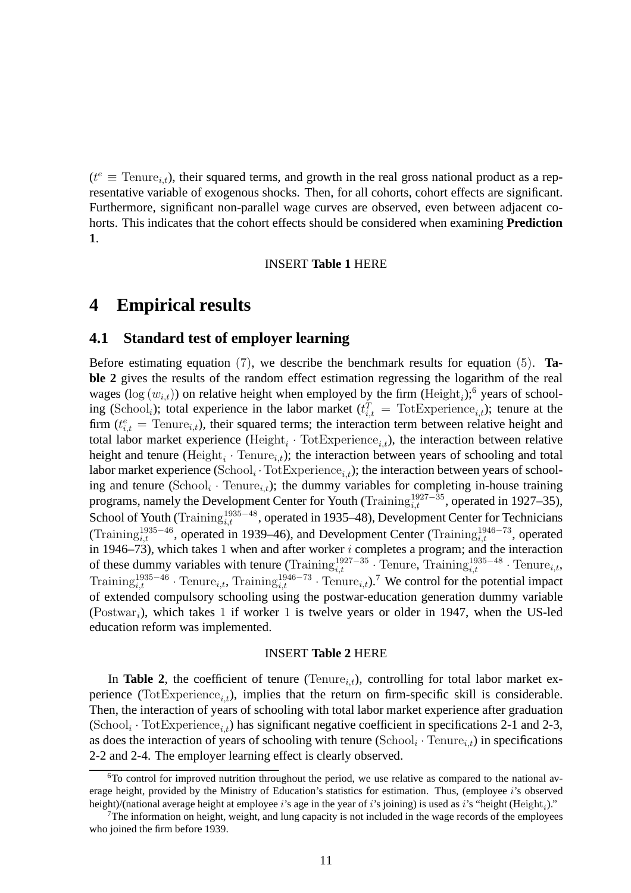$(t^e \equiv \text{Tenure}_{i,t})$ , their squared terms, and growth in the real gross national product as a representative variable of exogenous shocks. Then, for all cohorts, cohort effects are significant. Furthermore, significant non-parallel wage curves are observed, even between adjacent cohorts. This indicates that the cohort effects should be considered when examining **Prediction 1**.

#### INSERT **Table 1** HERE

## **4 Empirical results**

### **4.1 Standard test of employer learning**

Before estimating equation (7), we describe the benchmark results for equation (5). **Table 2** gives the results of the random effect estimation regressing the logarithm of the real wages ( $log(w_{i,t})$ ) on relative height when employed by the firm (Height<sub>i</sub>);<sup>6</sup> years of schooling (School<sub>i</sub>); total experience in the labor market  $(t_{i,t}^T = \text{TotExperiment}_{i,t})$ ; tenure at the firm  $(t_{i,t}^e)$  = Tenure<sub>i,t</sub>), their squared terms; the interaction term between relative height and total labor market experience (Height<sub>i</sub> · TotExperience<sub>i,t</sub>), the interaction between relative height and tenure (Height<sub>i</sub> · Tenure<sub>i,t</sub>); the interaction between years of schooling and total labor market experience  $(School_i \cdot TotExpected_{i,t})$ ; the interaction between years of schooling and tenure (School<sub>i</sub> · Tenure<sub>i,t</sub>); the dummy variables for completing in-house training programs, namely the Development Center for Youth (Training $_{i,t}^{1927-35}$ , operated in 1927–35), School of Youth (Training $_{i,t}^{1935-48}$ , operated in 1935–48), Development Center for Technicians (Training<sup>1935–46</sup>, operated in 1939–46), and Development Center (Training<sup>1946–73</sup>, operated in 1946–73), which takes 1 when and after worker  $i$  completes a program; and the interaction of these dummy variables with tenure (Training<sup>1927–35</sup> · Tenure, Training<sup>1935–48</sup> · Tenure<sub>i,t</sub>, Training<sup>1935–46</sup> · Tenure<sub>i,t</sub>, Training<sup>1946–73</sup> · Tenure<sub>i,t</sub>).<sup>7</sup> We control for the potential impact of extended compulsory schooling using the postwar-education generation dummy variable (Postwar<sub>i</sub>), which takes 1 if worker 1 is twelve years or older in 1947, when the US-led education reform was implemented.

#### INSERT **Table 2** HERE

In **Table 2**, the coefficient of tenure (Tenure<sub>i,t</sub>), controlling for total labor market experience (TotExperience<sub>i+</sub>), implies that the return on firm-specific skill is considerable. Then, the interaction of years of schooling with total labor market experience after graduation  $(\text{School}_i \cdot \text{TotExperience}_{i,t})$  has significant negative coefficient in specifications 2-1 and 2-3, as does the interaction of years of schooling with tenure  $(School_i \cdot Tenure_{i,t})$  in specifications 2-2 and 2-4. The employer learning effect is clearly observed.

<sup>&</sup>lt;sup>6</sup>To control for improved nutrition throughout the period, we use relative as compared to the national average height, provided by the Ministry of Education's statistics for estimation. Thus, (employee i's observed height)/(national average height at employee i's age in the year of i's joining) is used as i's "height (Height<sub>i</sub>)."

 $7$ The information on height, weight, and lung capacity is not included in the wage records of the employees who joined the firm before 1939.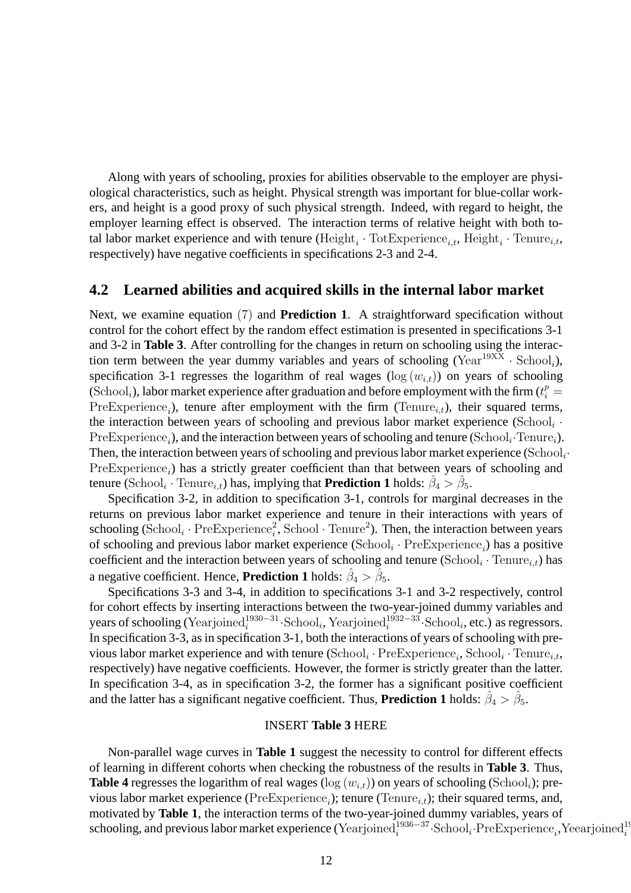Along with years of schooling, proxies for abilities observable to the employer are physiological characteristics, such as height. Physical strength was important for blue-collar workers, and height is a good proxy of such physical strength. Indeed, with regard to height, the employer learning effect is observed. The interaction terms of relative height with both total labor market experience and with tenure (Height<sub>i</sub> · TotExperience<sub>i,t</sub>, Height<sub>i</sub> · Tenure<sub>i,t</sub>, respectively) have negative coefficients in specifications 2-3 and 2-4.

### **4.2 Learned abilities and acquired skills in the internal labor market**

Next, we examine equation (7) and **Prediction 1**. A straightforward specification without control for the cohort effect by the random effect estimation is presented in specifications 3-1 and 3-2 in **Table 3**. After controlling for the changes in return on schooling using the interaction term between the year dummy variables and years of schooling (Year<sup>19XX</sup>  $\cdot$  School<sub>i</sub>), specification 3-1 regresses the logarithm of real wages ( $log(w_{i,t})$ ) on years of schooling (School<sub>i</sub>), labor market experience after graduation and before employment with the firm ( $t_i^p =$  $Pre Experience_i$ ), tenure after employment with the firm (Tenure<sub>i,t</sub>), their squared terms, the interaction between years of schooling and previous labor market experience (School<sub>i</sub>  $\cdot$  $Pre Experience_i$ ), and the interaction between years of schooling and tenure (School<sub>i</sub>·Tenure<sub>i</sub>). Then, the interaction between years of schooling and previous labor market experience (School<sub>i</sub> $\cdot$  $Pre Experience_i)$  has a strictly greater coefficient than that between years of schooling and tenure (School<sub>i</sub> · Tenure<sub>*i*,*t*</sub>) has, implying that **Prediction 1** holds:  $\hat{\beta}_4 > \hat{\beta}_5$ .

Specification 3-2, in addition to specification 3-1, controls for marginal decreases in the returns on previous labor market experience and tenure in their interactions with years of schooling (School<sub>i</sub> · PreExperience<sup>2</sup><sub>i</sub>, School · Tenure<sup>2</sup>). Then, the interaction between years of schooling and previous labor market experience  $(School_i \cdot Pre Experience_i)$  has a positive coefficient and the interaction between years of schooling and tenure (School<sub>i</sub> · Tenure<sub>i,t</sub>) has a negative coefficient. Hence, **Prediction 1** holds:  $\hat{\beta}_4 > \hat{\beta}_5$ .

Specifications 3-3 and 3-4, in addition to specifications 3-1 and 3-2 respectively, control for cohort effects by inserting interactions between the two-year-joined dummy variables and years of schooling (Yearjoined<sup>1930–31</sup>·School<sub>i</sub>, Yearjoined<sup>1932–33</sup>·School<sub>i</sub>, etc.) as regressors. In specification 3-3, as in specification 3-1, both the interactions of years of schooling with previous labor market experience and with tenure  $(School_i \cdot PreExperiment_i, School_i \cdot Tenure_{i,t},$ respectively) have negative coefficients. However, the former is strictly greater than the latter. In specification 3-4, as in specification 3-2, the former has a significant positive coefficient and the latter has a significant negative coefficient. Thus, **Prediction 1** holds:  $\hat{\beta}_4 > \hat{\beta}_5$ .

#### INSERT **Table 3** HERE

Non-parallel wage curves in **Table 1** suggest the necessity to control for different effects of learning in different cohorts when checking the robustness of the results in **Table 3**. Thus, **Table 4** regresses the logarithm of real wages ( $log(w_{i,t})$ ) on years of schooling (School<sub>i</sub>); previous labor market experience ( $PreExperience_i$ ); tenure ( $Tenure_{i,t}$ ); their squared terms, and, motivated by **Table 1**, the interaction terms of the two-year-joined dummy variables, years of  $s$ chooling, and previous labor market experience (Yearjoined $i^{1936-37}$ ·School<sub>i</sub>·PreExperience<sub>i</sub>,Yeearjoined<sup>19</sup>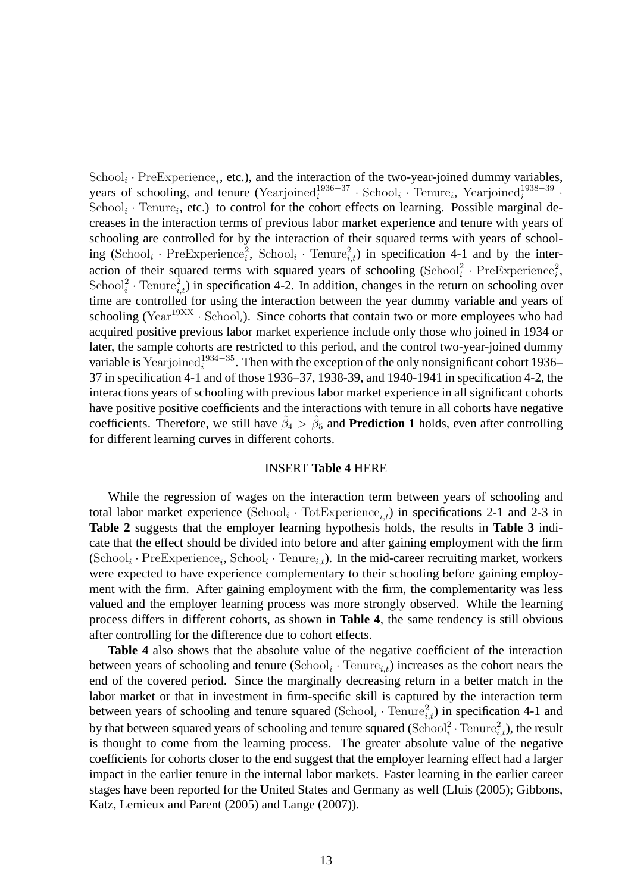$\text{School}_i \cdot \text{PreExperience}_i$ , etc.), and the interaction of the two-year-joined dummy variables, years of schooling, and tenure (Yearjoined $i^{1936-37}$  · School<sub>i</sub> · Tenure<sub>i</sub>, Yearjoined $i^{1938-39}$ . School<sub>i</sub> · Tenure<sub>i</sub>, etc.) to control for the cohort effects on learning. Possible marginal decreases in the interaction terms of previous labor market experience and tenure with years of schooling are controlled for by the interaction of their squared terms with years of schooling  $(School_i \cdot Pre Experience_i^2$ ,  $School_i \cdot Tenure_{i,t}^2)$  in specification 4-1 and by the interaction of their squared terms with squared years of schooling  $(School<sub>i</sub><sup>2</sup> \cdot PreExperiment<sub>i</sub><sup>2</sup>$ , School<sup>2</sup> · Tenure<sub>i,t</sub>) in specification 4-2. In addition, changes in the return on schooling over time are controlled for using the interaction between the year dummy variable and years of schooling (Year<sup>19XX</sup>  $\cdot$  School<sub>i</sub>). Since cohorts that contain two or more employees who had acquired positive previous labor market experience include only those who joined in 1934 or later, the sample cohorts are restricted to this period, and the control two-year-joined dummy variable is Yearjoined<sup>1934–35</sup>. Then with the exception of the only nonsignificant cohort 1936– 37 in specification 4-1 and of those 1936–37, 1938-39, and 1940-1941 in specification 4-2, the interactions years of schooling with previous labor market experience in all significant cohorts have positive positive coefficients and the interactions with tenure in all cohorts have negative coefficients. Therefore, we still have  $\hat{\beta}_4 > \hat{\beta}_5$  and **Prediction 1** holds, even after controlling for different learning curves in different cohorts.

#### INSERT **Table 4** HERE

While the regression of wages on the interaction term between years of schooling and total labor market experience  $(School_i \cdot Tot Experience_{i,t})$  in specifications 2-1 and 2-3 in **Table 2** suggests that the employer learning hypothesis holds, the results in **Table 3** indicate that the effect should be divided into before and after gaining employment with the firm  $(School_i \cdot PreExploreine_i, School_i \cdot Tenure_{i,t})$ . In the mid-career recruiting market, workers were expected to have experience complementary to their schooling before gaining employment with the firm. After gaining employment with the firm, the complementarity was less valued and the employer learning process was more strongly observed. While the learning process differs in different cohorts, as shown in **Table 4**, the same tendency is still obvious after controlling for the difference due to cohort effects.

**Table 4** also shows that the absolute value of the negative coefficient of the interaction between years of schooling and tenure  $(School_i \cdot Tenure_{i,t})$  increases as the cohort nears the end of the covered period. Since the marginally decreasing return in a better match in the labor market or that in investment in firm-specific skill is captured by the interaction term between years of schooling and tenure squared  $(School_i \cdot Tenure_{i,t}^2)$  in specification 4-1 and by that between squared years of schooling and tenure squared ( $\text{School}_i^2 \cdot \text{Tenure}_{i,t}^2$ ), the result is thought to come from the learning process. The greater absolute value of the negative coefficients for cohorts closer to the end suggest that the employer learning effect had a larger impact in the earlier tenure in the internal labor markets. Faster learning in the earlier career stages have been reported for the United States and Germany as well (Lluis (2005); Gibbons, Katz, Lemieux and Parent (2005) and Lange (2007)).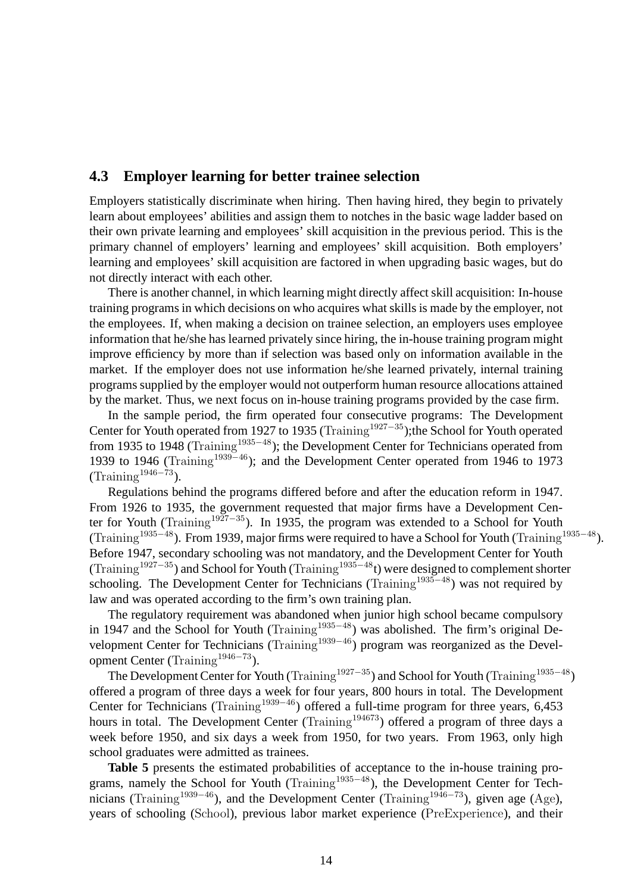### **4.3 Employer learning for better trainee selection**

Employers statistically discriminate when hiring. Then having hired, they begin to privately learn about employees' abilities and assign them to notches in the basic wage ladder based on their own private learning and employees' skill acquisition in the previous period. This is the primary channel of employers' learning and employees' skill acquisition. Both employers' learning and employees' skill acquisition are factored in when upgrading basic wages, but do not directly interact with each other.

There is another channel, in which learning might directly affect skill acquisition: In-house training programs in which decisions on who acquires what skills is made by the employer, not the employees. If, when making a decision on trainee selection, an employers uses employee information that he/she has learned privately since hiring, the in-house training program might improve efficiency by more than if selection was based only on information available in the market. If the employer does not use information he/she learned privately, internal training programs supplied by the employer would not outperform human resource allocations attained by the market. Thus, we next focus on in-house training programs provided by the case firm.

In the sample period, the firm operated four consecutive programs: The Development Center for Youth operated from 1927 to 1935 (Training<sup>1927–35</sup>);the School for Youth operated from 1935 to 1948 (Training<sup>1935–48</sup>); the Development Center for Technicians operated from 1939 to 1946 (Training<sup>1939–46</sup>); and the Development Center operated from 1946 to 1973  $(Training<sup>1946-73</sup>).$ 

Regulations behind the programs differed before and after the education reform in 1947. From 1926 to 1935, the government requested that major firms have a Development Center for Youth (Training<sup>1927–35</sup>). In 1935, the program was extended to a School for Youth (Training<sup>1935−48</sup>). From 1939, major firms were required to have a School for Youth (Training<sup>1935−48</sup>). Before 1947, secondary schooling was not mandatory, and the Development Center for Youth  $(Training^{1927-35})$  and School for Youth (Training<sup>1935–48</sup>t) were designed to complement shorter schooling. The Development Center for Technicians (Training<sup>1935–48</sup>) was not required by law and was operated according to the firm's own training plan.

The regulatory requirement was abandoned when junior high school became compulsory in 1947 and the School for Youth (Training<sup>1935–48</sup>) was abolished. The firm's original Development Center for Technicians (Training<sup>1939–46</sup>) program was reorganized as the Development Center (Training<sup>1946−73</sup>).

The Development Center for Youth (Training<sup>1927–35</sup>) and School for Youth (Training<sup>1935–48</sup>) offered a program of three days a week for four years, 800 hours in total. The Development Center for Technicians (Training<sup>1939–46</sup>) offered a full-time program for three years, 6,453 hours in total. The Development Center (Training<sup>194673</sup>) offered a program of three days a week before 1950, and six days a week from 1950, for two years. From 1963, only high school graduates were admitted as trainees.

**Table 5** presents the estimated probabilities of acceptance to the in-house training programs, namely the School for Youth (Training<sup>1935–48</sup>), the Development Center for Technicians (Training<sup>1939–46</sup>), and the Development Center (Training<sup>1946–73</sup>), given age (Age), years of schooling (School), previous labor market experience (PreExperience), and their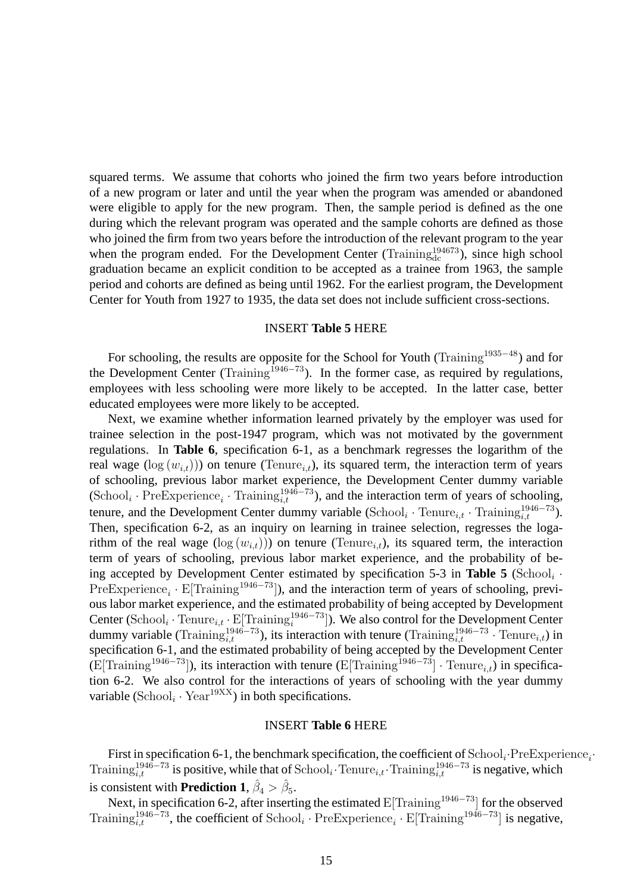squared terms. We assume that cohorts who joined the firm two years before introduction of a new program or later and until the year when the program was amended or abandoned were eligible to apply for the new program. Then, the sample period is defined as the one during which the relevant program was operated and the sample cohorts are defined as those who joined the firm from two years before the introduction of the relevant program to the year when the program ended. For the Development Center (Training $_{dc}^{194673}$ ), since high school graduation became an explicit condition to be accepted as a trainee from 1963, the sample period and cohorts are defined as being until 1962. For the earliest program, the Development Center for Youth from 1927 to 1935, the data set does not include sufficient cross-sections.

#### INSERT **Table 5** HERE

For schooling, the results are opposite for the School for Youth (Training<sup>1935</sup>−<sup>48</sup>) and for the Development Center (Training<sup>1946–73</sup>). In the former case, as required by regulations, employees with less schooling were more likely to be accepted. In the latter case, better educated employees were more likely to be accepted.

Next, we examine whether information learned privately by the employer was used for trainee selection in the post-1947 program, which was not motivated by the government regulations. In **Table 6**, specification 6-1, as a benchmark regresses the logarithm of the real wage ( $log(w_{i,t})$ )) on tenure (Tenure<sub>it</sub>), its squared term, the interaction term of years of schooling, previous labor market experience, the Development Center dummy variable  $(\text{School}_i \cdot \text{PreExperience}_i \cdot \text{Training}_{i,t}^{1946-73})$ , and the interaction term of years of schooling, tenure, and the Development Center dummy variable  $(School_i \cdot \text{Tenure}_{i,t} \cdot \text{Training}_{i,t}^{1946-73})$ . Then, specification 6-2, as an inquiry on learning in trainee selection, regresses the logarithm of the real wage  $(\log(w_{i,t}))$  on tenure (Tenure<sub>i,t</sub>), its squared term, the interaction term of years of schooling, previous labor market experience, and the probability of being accepted by Development Center estimated by specification  $5-3$  in Table  $5$  (School<sub>i</sub>  $\cdot$ PreExperience<sub>i</sub> · E[Training<sup>1946–73</sup>]), and the interaction term of years of schooling, previous labor market experience, and the estimated probability of being accepted by Development Center  $(School_i \cdot Tenure_{i,t} \cdot E[Training_i^{1946-73}])$ . We also control for the Development Center dummy variable (Training<sup>1946–73</sup>), its interaction with tenure (Training<sup>1946–73</sup> · Tenure<sub>i,t</sub>) in specification 6-1, and the estimated probability of being accepted by the Development Center (E[Training<sup>1946–73</sup>]), its interaction with tenure (E[Training<sup>1946–73</sup>] · Tenure<sub>i,t</sub>) in specification 6-2. We also control for the interactions of years of schooling with the year dummy variable (School<sub>i</sub> · Year<sup>19XX</sup>) in both specifications.

#### INSERT **Table 6** HERE

First in specification 6-1, the benchmark specification, the coefficient of  $\text{School}_i \cdot \text{PreExperience}_i \cdot$ Training<sup>1946–73</sup> is positive, while that of School<sub>i</sub>. Tenure<sub>i,t</sub>. Training<sup>1946–73</sup> is negative, which is consistent with **Prediction 1**,  $\hat{\beta}_4 > \hat{\beta}_5$ .

Next, in specification 6-2, after inserting the estimated  $E[Training^{1946-73}]$  for the observed Training<sup>1946–73</sup>, the coefficient of School<sub>i</sub> · PreExperience<sub>i</sub> · E[Training<sup>1946–73</sup>] is negative,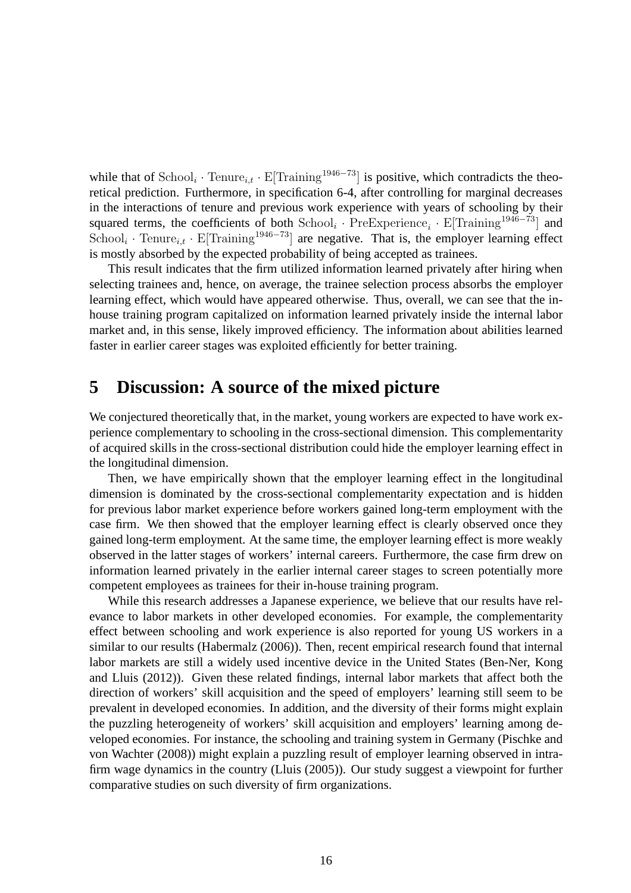while that of  $\text{School}_i \cdot \text{Tenure}_{i,t} \cdot E[\text{Training}^{1946-73}]$  is positive, which contradicts the theoretical prediction. Furthermore, in specification 6-4, after controlling for marginal decreases in the interactions of tenure and previous work experience with years of schooling by their squared terms, the coefficients of both  $School_i \cdot PreExperimente_i \cdot E[Training^{1946-73}]$  and  $School<sub>i</sub>$  · Tenure<sub>i,t</sub> · E[Training<sup>1946–73</sup>] are negative. That is, the employer learning effect is mostly absorbed by the expected probability of being accepted as trainees.

This result indicates that the firm utilized information learned privately after hiring when selecting trainees and, hence, on average, the trainee selection process absorbs the employer learning effect, which would have appeared otherwise. Thus, overall, we can see that the inhouse training program capitalized on information learned privately inside the internal labor market and, in this sense, likely improved efficiency. The information about abilities learned faster in earlier career stages was exploited efficiently for better training.

## **5 Discussion: A source of the mixed picture**

We conjectured theoretically that, in the market, young workers are expected to have work experience complementary to schooling in the cross-sectional dimension. This complementarity of acquired skills in the cross-sectional distribution could hide the employer learning effect in the longitudinal dimension.

Then, we have empirically shown that the employer learning effect in the longitudinal dimension is dominated by the cross-sectional complementarity expectation and is hidden for previous labor market experience before workers gained long-term employment with the case firm. We then showed that the employer learning effect is clearly observed once they gained long-term employment. At the same time, the employer learning effect is more weakly observed in the latter stages of workers' internal careers. Furthermore, the case firm drew on information learned privately in the earlier internal career stages to screen potentially more competent employees as trainees for their in-house training program.

While this research addresses a Japanese experience, we believe that our results have relevance to labor markets in other developed economies. For example, the complementarity effect between schooling and work experience is also reported for young US workers in a similar to our results (Habermalz (2006)). Then, recent empirical research found that internal labor markets are still a widely used incentive device in the United States (Ben-Ner, Kong and Lluis (2012)). Given these related findings, internal labor markets that affect both the direction of workers' skill acquisition and the speed of employers' learning still seem to be prevalent in developed economies. In addition, and the diversity of their forms might explain the puzzling heterogeneity of workers' skill acquisition and employers' learning among developed economies. For instance, the schooling and training system in Germany (Pischke and von Wachter (2008)) might explain a puzzling result of employer learning observed in intrafirm wage dynamics in the country (Lluis (2005)). Our study suggest a viewpoint for further comparative studies on such diversity of firm organizations.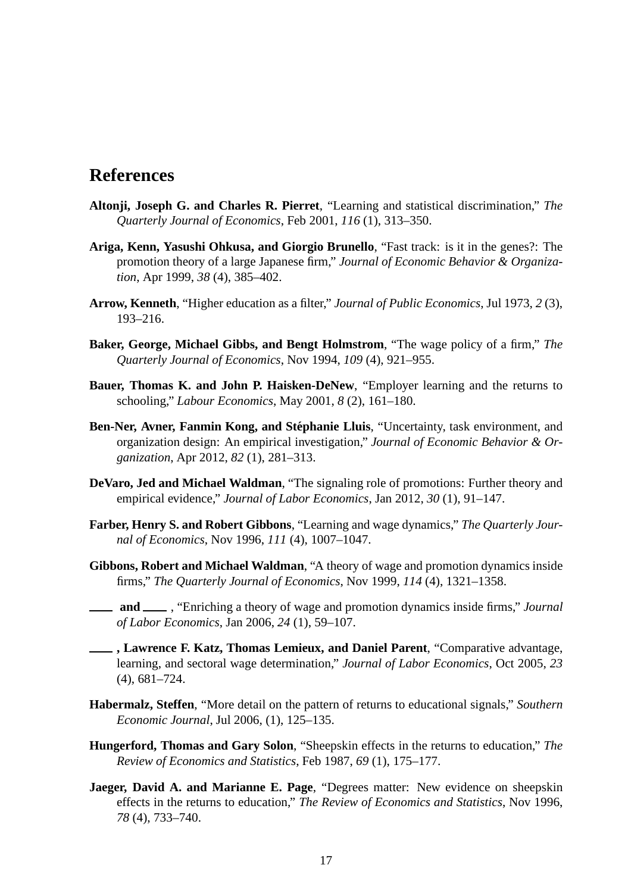## **References**

- **Altonji, Joseph G. and Charles R. Pierret**, "Learning and statistical discrimination," *The Quarterly Journal of Economics*, Feb 2001, *116* (1), 313–350.
- **Ariga, Kenn, Yasushi Ohkusa, and Giorgio Brunello**, "Fast track: is it in the genes?: The promotion theory of a large Japanese firm," *Journal of Economic Behavior & Organization*, Apr 1999, *38* (4), 385–402.
- **Arrow, Kenneth**, "Higher education as a filter," *Journal of Public Economics*, Jul 1973, *2* (3), 193–216.
- **Baker, George, Michael Gibbs, and Bengt Holmstrom**, "The wage policy of a firm," *The Quarterly Journal of Economics*, Nov 1994, *109* (4), 921–955.
- **Bauer, Thomas K. and John P. Haisken-DeNew**, "Employer learning and the returns to schooling," *Labour Economics*, May 2001, *8* (2), 161–180.
- **Ben-Ner, Avner, Fanmin Kong, and Stéphanie Lluis, "Uncertainty, task environment, and** organization design: An empirical investigation," *Journal of Economic Behavior & Organization*, Apr 2012, *82* (1), 281–313.
- **DeVaro, Jed and Michael Waldman**, "The signaling role of promotions: Further theory and empirical evidence," *Journal of Labor Economics*, Jan 2012, *30* (1), 91–147.
- **Farber, Henry S. and Robert Gibbons**, "Learning and wage dynamics," *The Quarterly Journal of Economics*, Nov 1996, *111* (4), 1007–1047.
- **Gibbons, Robert and Michael Waldman**, "A theory of wage and promotion dynamics inside firms," *The Quarterly Journal of Economics*, Nov 1999, *114* (4), 1321–1358.
- **and** <u>and</u> Solution as theory of wage and promotion dynamics inside firms," *Journal* is *of Labor Economics*, Jan 2006, *24* (1), 59–107.
- **, Lawrence F. Katz, Thomas Lemieux, and Daniel Parent**, "Comparative advantage, learning, and sectoral wage determination," *Journal of Labor Economics*, Oct 2005, *23* (4), 681–724.
- **Habermalz, Steffen**, "More detail on the pattern of returns to educational signals," *Southern Economic Journal*, Jul 2006, (1), 125–135.
- **Hungerford, Thomas and Gary Solon**, "Sheepskin effects in the returns to education," *The Review of Economics and Statistics*, Feb 1987, *69* (1), 175–177.
- **Jaeger, David A. and Marianne E. Page**, "Degrees matter: New evidence on sheepskin effects in the returns to education," *The Review of Economics and Statistics*, Nov 1996, *78* (4), 733–740.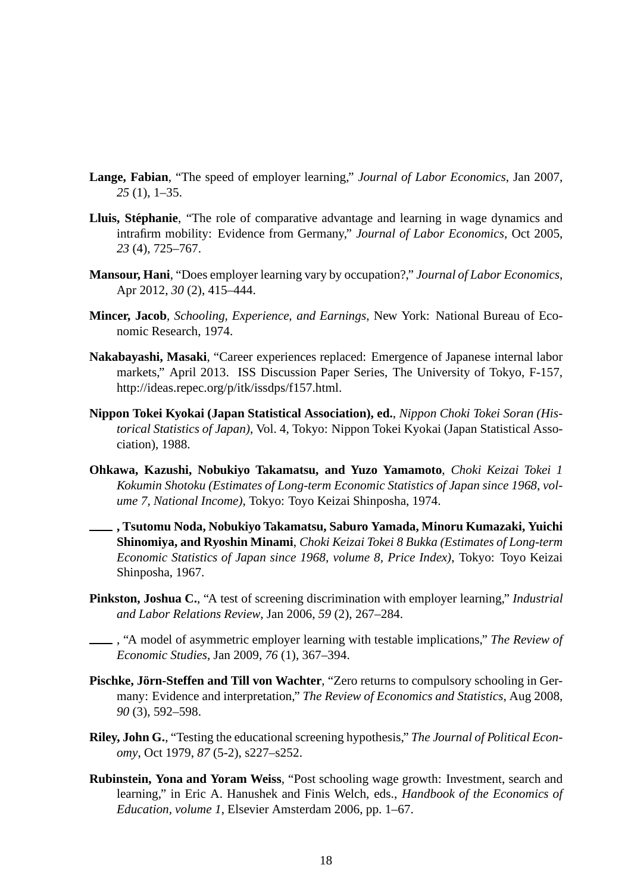- **Lange, Fabian**, "The speed of employer learning," *Journal of Labor Economics*, Jan 2007, *25* (1), 1–35.
- Lluis, Stéphanie, "The role of comparative advantage and learning in wage dynamics and intrafirm mobility: Evidence from Germany," *Journal of Labor Economics*, Oct 2005, *23* (4), 725–767.
- **Mansour, Hani**, "Does employer learning vary by occupation?," *Journal of Labor Economics*, Apr 2012, *30* (2), 415–444.
- **Mincer, Jacob**, *Schooling, Experience, and Earnings*, New York: National Bureau of Economic Research, 1974.
- **Nakabayashi, Masaki**, "Career experiences replaced: Emergence of Japanese internal labor markets," April 2013. ISS Discussion Paper Series, The University of Tokyo, F-157, http://ideas.repec.org/p/itk/issdps/f157.html.
- **Nippon Tokei Kyokai (Japan Statistical Association), ed.**, *Nippon Choki Tokei Soran (Historical Statistics of Japan)*, Vol. 4, Tokyo: Nippon Tokei Kyokai (Japan Statistical Association), 1988.
- **Ohkawa, Kazushi, Nobukiyo Takamatsu, and Yuzo Yamamoto**, *Choki Keizai Tokei 1 Kokumin Shotoku (Estimates of Long-term Economic Statistics of Japan since 1968, volume 7, National Income)*, Tokyo: Toyo Keizai Shinposha, 1974.
- **, Tsutomu Noda, Nobukiyo Takamatsu, Saburo Yamada, Minoru Kumazaki, Yuichi Shinomiya, and Ryoshin Minami**, *Choki Keizai Tokei 8 Bukka (Estimates of Long-term Economic Statistics of Japan since 1968, volume 8, Price Index)*, Tokyo: Toyo Keizai Shinposha, 1967.
- **Pinkston, Joshua C.**, "A test of screening discrimination with employer learning," *Industrial and Labor Relations Review*, Jan 2006, *59* (2), 267–284.

, "A model of asymmetric employer learning with testable implications," *The Review of Economic Studies*, Jan 2009, *76* (1), 367–394.

- **Pischke, Jorn-Steffen and Till von Wachter ¨** , "Zero returns to compulsory schooling in Germany: Evidence and interpretation," *The Review of Economics and Statistics*, Aug 2008, *90* (3), 592–598.
- **Riley, John G.**, "Testing the educational screening hypothesis," *The Journal of Political Economy*, Oct 1979, *87* (5-2), s227–s252.
- **Rubinstein, Yona and Yoram Weiss**, "Post schooling wage growth: Investment, search and learning," in Eric A. Hanushek and Finis Welch, eds., *Handbook of the Economics of Education, volume 1*, Elsevier Amsterdam 2006, pp. 1–67.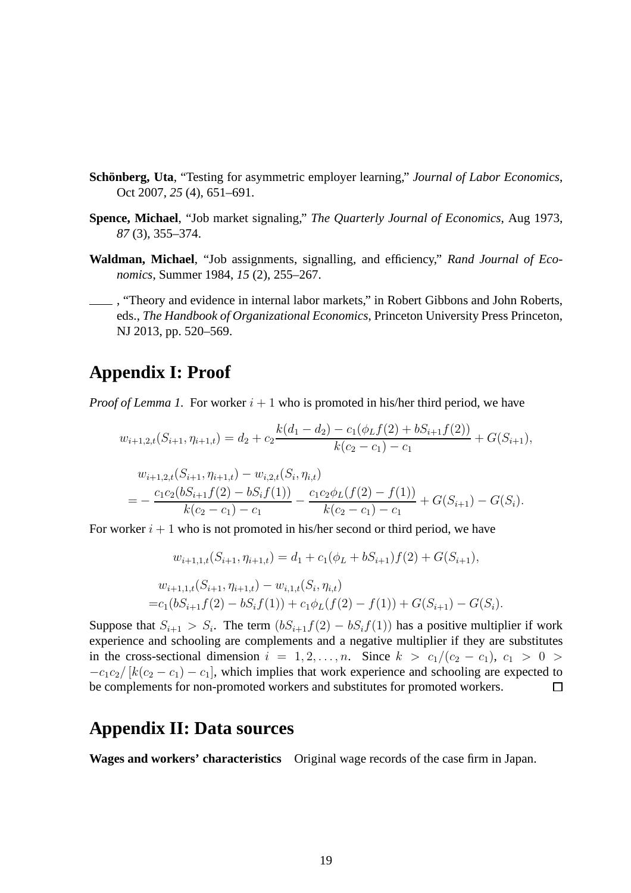- **Schönberg, Uta**, "Testing for asymmetric employer learning," *Journal of Labor Economics*, Oct 2007, *25* (4), 651–691.
- **Spence, Michael**, "Job market signaling," *The Quarterly Journal of Economics*, Aug 1973, *87* (3), 355–374.
- **Waldman, Michael**, "Job assignments, signalling, and efficiency," *Rand Journal of Economics*, Summer 1984, *15* (2), 255–267.
- , "Theory and evidence in internal labor markets," in Robert Gibbons and John Roberts, eds., *The Handbook of Organizational Economics*, Princeton University Press Princeton, NJ 2013, pp. 520–569.

## **Appendix I: Proof**

*Proof of Lemma 1.* For worker  $i + 1$  who is promoted in his/her third period, we have

$$
w_{i+1,2,t}(S_{i+1},\eta_{i+1,t}) = d_2 + c_2 \frac{k(d_1 - d_2) - c_1(\phi_L f(2) + bS_{i+1}f(2))}{k(c_2 - c_1) - c_1} + G(S_{i+1}),
$$

$$
w_{i+1,2,t}(S_{i+1}, \eta_{i+1,t}) - w_{i,2,t}(S_i, \eta_{i,t})
$$
  
= 
$$
-\frac{c_1c_2(bS_{i+1}f(2) - bS_if(1))}{k(c_2 - c_1) - c_1} - \frac{c_1c_2\phi_L(f(2) - f(1))}{k(c_2 - c_1) - c_1} + G(S_{i+1}) - G(S_i).
$$

For worker  $i + 1$  who is not promoted in his/her second or third period, we have

$$
w_{i+1,1,t}(S_{i+1}, \eta_{i+1,t}) = d_1 + c_1(\phi_L + bS_{i+1})f(2) + G(S_{i+1}),
$$
  
\n
$$
w_{i+1,1,t}(S_{i+1}, \eta_{i+1,t}) - w_{i,1,t}(S_i, \eta_{i,t})
$$
  
\n
$$
= c_1(bS_{i+1}f(2) - bS_i f(1)) + c_1\phi_L(f(2) - f(1)) + G(S_{i+1}) - G(S_i).
$$

Suppose that  $S_{i+1} > S_i$ . The term  $(bS_{i+1}f(2) - bS_i f(1))$  has a positive multiplier if work experience and schooling are complements and a negative multiplier if they are substitutes in the cross-sectional dimension  $i = 1, 2, \ldots, n$ . Since  $k > c_1/(c_2 - c_1)$ ,  $c_1 > 0 >$  $-c_1c_2/[k(c_2 - c_1) - c_1]$ , which implies that work experience and schooling are expected to be complements for non-promoted workers and substitutes for promoted workers.  $\Box$ 

# **Appendix II: Data sources**

**Wages and workers' characteristics** Original wage records of the case firm in Japan.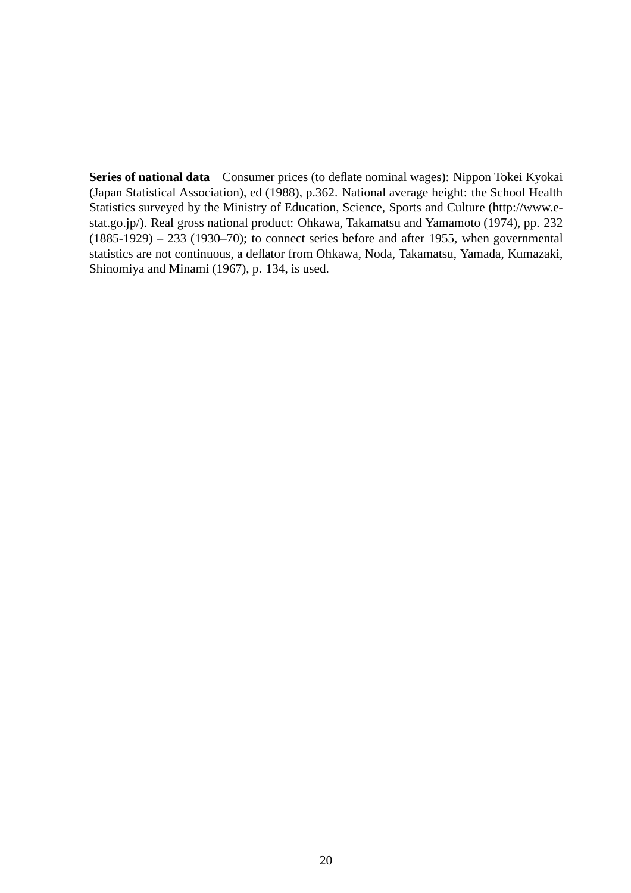**Series of national data** Consumer prices (to deflate nominal wages): Nippon Tokei Kyokai (Japan Statistical Association), ed (1988), p.362. National average height: the School Health Statistics surveyed by the Ministry of Education, Science, Sports and Culture (http://www.estat.go.jp/). Real gross national product: Ohkawa, Takamatsu and Yamamoto (1974), pp. 232  $(1885-1929) - 233$   $(1930-70)$ ; to connect series before and after 1955, when governmental statistics are not continuous, a deflator from Ohkawa, Noda, Takamatsu, Yamada, Kumazaki, Shinomiya and Minami (1967), p. 134, is used.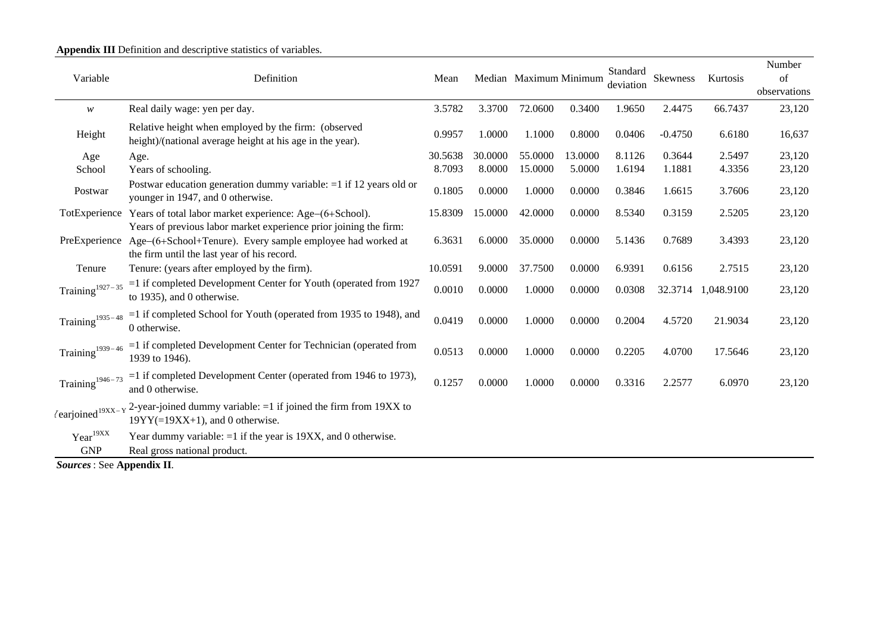|                               |                                                                                                                                                                                              |         |         |                        |         | Standard  |           |            | Number       |
|-------------------------------|----------------------------------------------------------------------------------------------------------------------------------------------------------------------------------------------|---------|---------|------------------------|---------|-----------|-----------|------------|--------------|
| Variable                      | Definition                                                                                                                                                                                   | Mean    |         | Median Maximum Minimum |         | deviation | Skewness  | Kurtosis   | of           |
|                               |                                                                                                                                                                                              |         |         |                        |         |           |           |            | observations |
| w                             | Real daily wage: yen per day.                                                                                                                                                                | 3.5782  | 3.3700  | 72.0600                | 0.3400  | 1.9650    | 2.4475    | 66.7437    | 23,120       |
| Height                        | Relative height when employed by the firm: (observed<br>height)/(national average height at his age in the year).                                                                            | 0.9957  | 1.0000  | 1.1000                 | 0.8000  | 0.0406    | $-0.4750$ | 6.6180     | 16,637       |
| Age                           | Age.                                                                                                                                                                                         | 30.5638 | 30,0000 | 55.0000                | 13.0000 | 8.1126    | 0.3644    | 2.5497     | 23,120       |
| School                        | Years of schooling.                                                                                                                                                                          | 8.7093  | 8.0000  | 15.0000                | 5.0000  | 1.6194    | 1.1881    | 4.3356     | 23,120       |
| Postwar                       | Postwar education generation dummy variable: $=1$ if 12 years old or<br>younger in 1947, and 0 otherwise.                                                                                    | 0.1805  | 0.0000  | 1.0000                 | 0.0000  | 0.3846    | 1.6615    | 3.7606     | 23,120       |
|                               | TotExperience Years of total labor market experience: Age-(6+School).                                                                                                                        | 15.8309 | 15.0000 | 42.0000                | 0.0000  | 8.5340    | 0.3159    | 2.5205     | 23,120       |
|                               | Years of previous labor market experience prior joining the firm:<br>PreExperience Age-(6+School+Tenure). Every sample employee had worked at<br>the firm until the last year of his record. | 6.3631  | 6.0000  | 35.0000                | 0.0000  | 5.1436    | 0.7689    | 3.4393     | 23,120       |
| Tenure                        | Tenure: (years after employed by the firm).                                                                                                                                                  | 10.0591 | 9.0000  | 37.7500                | 0.0000  | 6.9391    | 0.6156    | 2.7515     | 23,120       |
| $\mathrm{Training}^{1927-35}$ | =1 if completed Development Center for Youth (operated from 1927<br>to 1935), and 0 otherwise.                                                                                               | 0.0010  | 0.0000  | 1.0000                 | 0.0000  | 0.0308    | 32.3714   | 1,048.9100 | 23,120       |
| $\mathrm{Training}^{1935-48}$ | $=$ 1 if completed School for Youth (operated from 1935 to 1948), and<br>0 otherwise.                                                                                                        | 0.0419  | 0.0000  | 1.0000                 | 0.0000  | 0.2004    | 4.5720    | 21.9034    | 23,120       |
| $\mathrm{Training}^{1939-46}$ | $=$ 1 if completed Development Center for Technician (operated from<br>1939 to 1946).                                                                                                        | 0.0513  | 0.0000  | 1.0000                 | 0.0000  | 0.2205    | 4.0700    | 17.5646    | 23,120       |
| $\mathrm{Training}^{1946-73}$ | $=$ 1 if completed Development Center (operated from 1946 to 1973),<br>and 0 otherwise.                                                                                                      | 0.1257  | 0.0000  | 1.0000                 | 0.0000  | 0.3316    | 2.2577    | 6.0970     | 23,120       |
|                               | (earjoined <sup>19XX-Y</sup> <sup>2</sup> -year-joined dummy variable: =1 if joined the firm from 19XX to<br>$19YY(=19XX+1)$ , and 0 otherwise.                                              |         |         |                        |         |           |           |            |              |
| $Year^{19XX}$<br><b>GNP</b>   | Year dummy variable: $=1$ if the year is 19XX, and 0 otherwise.<br>Real gross national product.                                                                                              |         |         |                        |         |           |           |            |              |

*Sources*: See **Appendix II**.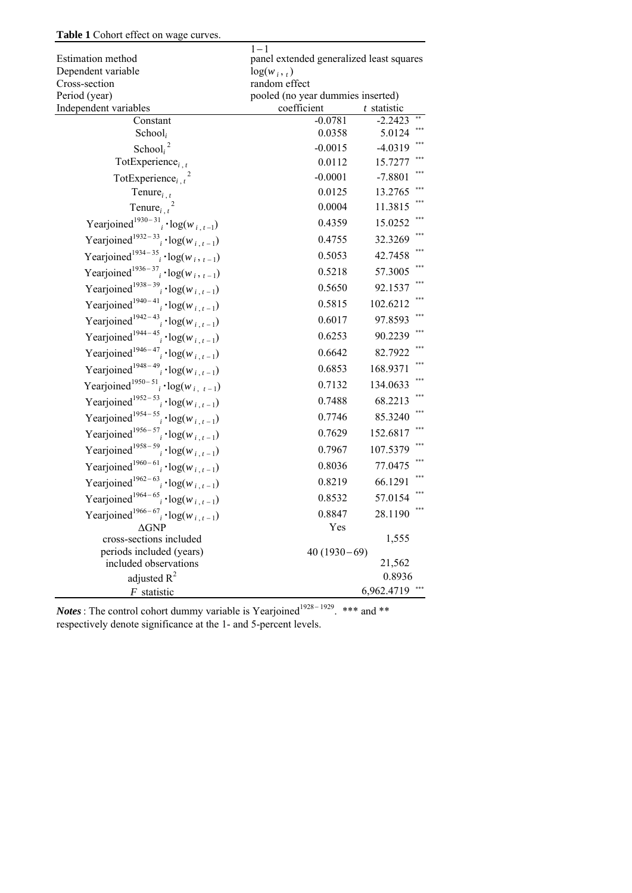#### **Table 1** Cohort effect on wage curves.

|                                                                              | $1 - 1$                                            |                |
|------------------------------------------------------------------------------|----------------------------------------------------|----------------|
| Estimation method                                                            | panel extended generalized least squares           |                |
| Dependent variable                                                           | $log(w_i, t)$                                      |                |
| Cross-section<br>Period (year)                                               | random effect<br>pooled (no year dummies inserted) |                |
| Independent variables                                                        | coefficient                                        | $t$ statistic  |
| Constant                                                                     | $-0.0781$                                          | $-2.2423$      |
| School <sub>i</sub>                                                          | 0.0358                                             | 5.0124         |
| School $i^2$                                                                 | $-0.0015$                                          | $-4.0319$      |
| TotExperience <sub>i.t</sub>                                                 | 0.0112                                             | 15.7277        |
| TotExperience <sub>i</sub> $t^2$                                             | $-0.0001$                                          | $-7.8801$      |
| Tenure $_{i,t}$                                                              | 0.0125                                             | 13.2765        |
| Tenure $_{i, t}$                                                             | 0.0004                                             | 11.3815        |
| Yearjoined <sup>1930-31</sup> <sub>i</sub> · log(w <sub>i,t-1</sub> )        | 0.4359                                             | 15.0252        |
| Yearjoined <sup>1932–33</sup> <sub>i</sub> · log( $w_{i,t-1}$ )              | 0.4755                                             | 32.3269        |
| Yearjoined <sup>1934–35</sup> · log( $w_i$ , $_{t-1}$ )                      | 0.5053                                             | 42.7458        |
| Yearjoined <sup>1936-37</sup> <sub>i</sub> · log(w <sub>i</sub> , $_{t-1}$ ) | 0.5218                                             | 57.3005        |
| Yearjoined <sup>1938–39</sup> <sub>i</sub> · log(w <sub>i,t-1</sub> )        | 0.5650                                             | 92.1537        |
| Yearjoined <sup>1940–41</sup> <sub>i</sub> · log(w <sub>i,t-1</sub> )        | 0.5815                                             | 102.6212       |
| Yearjoined <sup>1942-43</sup> <sub>i</sub> · log(w <sub>i,t-1</sub> )        | 0.6017                                             | 97.8593        |
| Yearjoined <sup>1944–45</sup> <sub>i</sub> · log( $w_{i,t-1}$ )              | 0.6253                                             | 90.2239        |
| Yearjoined <sup>1946-47</sup> <sub>i</sub> · log(w <sub>i,t-1</sub> )        | 0.6642                                             | 82.7922        |
| Yearjoined <sup>1948-49</sup> <sub>i</sub> $\cdot$ log(w <sub>i,t-1</sub> )  | 0.6853                                             | 168.9371       |
| Yearjoined <sup>1950–51</sup> <sub>i</sub> · log( $w_{i, t-1}$ )             | 0.7132                                             | 134.0633       |
| Yearjoined <sup>1952–53</sup> <sub>i</sub> · log( $w_{i,t-1}$ )              | 0.7488                                             | 68.2213        |
| Yearjoined <sup>1954–55</sup> <sub>i</sub> · log(w <sub>i,t-1</sub> )        | 0.7746                                             | 85.3240        |
| Yearjoined <sup>1956–57</sup> <sub>i</sub> · log( $w_{i,t-1}$ )              | 0.7629                                             | 152.6817       |
| Yearjoined <sup>1958–59</sup> <sub>i</sub> · log( $w_{i,t-1}$ )              | 0.7967                                             | 107.5379       |
| Yearjoined <sup>1960–61</sup> <sub>i</sub> · log(w <sub>i,t-1</sub> )        | 0.8036                                             | 77.0475        |
| Yearjoined <sup>1962–63</sup> <sub>i</sub> · log(w <sub>i,t-1</sub> )        | 0.8219                                             | ***<br>66.1291 |
| Yearjoined <sup>1964–65</sup> $i \cdot log(w_{i, t-1})$                      | 0.8532                                             | 57.0154        |
| Yearjoined <sup>1966-67</sup> <sub>i</sub> · log( $w_{i,t-1}$ )              | 0.8847                                             | ***<br>28.1190 |
| $\Delta$ GNP                                                                 | Yes                                                |                |
| cross-sections included                                                      |                                                    | 1,555          |
| periods included (years)                                                     | $40(1930-69)$                                      |                |
| included observations                                                        |                                                    | 21,562         |
| adjusted $R^2$                                                               |                                                    | 0.8936         |
| $F$ statistic                                                                |                                                    | 6,962.4719     |

*Notes*: The control cohort dummy variable is Yearjoined<sup>1928–1929</sup>. \*\*\* and \*\* respectively denote significance at the 1- and 5-percent levels.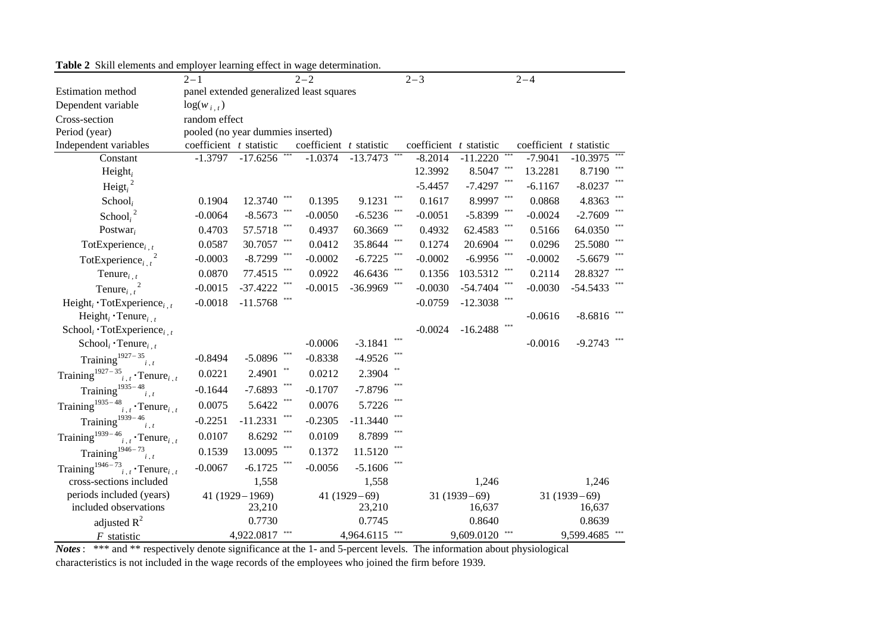| able $\blacksquare$ bixin elements and employer rearning effect in wage determination. |                                   |                           |                                          |               |                           |                     |                         |                |  |  |
|----------------------------------------------------------------------------------------|-----------------------------------|---------------------------|------------------------------------------|---------------|---------------------------|---------------------|-------------------------|----------------|--|--|
|                                                                                        | $2 - 1$<br>$2 - 2$                |                           |                                          |               |                           | $2 - 3$<br>$2 - 4$  |                         |                |  |  |
| Estimation method                                                                      |                                   |                           | panel extended generalized least squares |               |                           |                     |                         |                |  |  |
| Dependent variable                                                                     | $log(w_{i,t})$                    |                           |                                          |               |                           |                     |                         |                |  |  |
| Cross-section                                                                          | random effect                     |                           |                                          |               |                           |                     |                         |                |  |  |
| Period (year)                                                                          | pooled (no year dummies inserted) |                           |                                          |               |                           |                     |                         |                |  |  |
| Independent variables                                                                  | coefficient $t$ statistic         |                           | coefficient t statistic                  |               | coefficient $t$ statistic |                     | coefficient t statistic |                |  |  |
| Constant                                                                               | $-1.3797$                         | $-17.625\overline{6}$ *** | $-1.0374$                                | $-13.7473$    | $-8.2014$                 | $-11.2220$          | $-7.9041$               | $-10.3975$     |  |  |
| Height <sub>i</sub>                                                                    |                                   |                           |                                          |               | 12.3992                   | 8.5047              | 13.2281                 | 8.7190 ***     |  |  |
| Heigt $_i^2$                                                                           |                                   |                           |                                          |               | $-5.4457$                 | $-7.4297$           | $-6.1167$               | $-8.0237$      |  |  |
| School <sub>i</sub>                                                                    | 0.1904                            | 12.3740                   | 0.1395                                   | 9.1231        | 0.1617                    | $***$<br>8.9997     | 0.0868                  | 4.8363         |  |  |
| School $i^2$                                                                           | $-0.0064$                         | $-8.5673$                 | $-0.0050$                                | $-6.5236$     | $-0.0051$                 | $-5.8399$           | $-0.0024$               | $-2.7609$      |  |  |
| Postwar <sub>i</sub>                                                                   | 0.4703                            | 57.5718                   | 0.4937                                   | 60.3669       | 0.4932                    | 62.4583             | 0.5166                  | 64.0350        |  |  |
| TotExperience <sub>i.t</sub>                                                           | 0.0587                            | 30.7057                   | 0.0412                                   | 35.8644       | 0.1274                    | 20.6904             | 0.0296                  | 25.5080        |  |  |
| TotExperience <sub>i,t</sub>                                                           | $-0.0003$                         | $-8.7299$                 | $-0.0002$                                | $-6.7225$     | $-0.0002$                 | $-6.9956$           | $-0.0002$               | $-5.6679$      |  |  |
| Tenure $_{i, t}$                                                                       | 0.0870                            | 77.4515                   | 0.0922                                   | 46.6436       | 0.1356                    | 103.5312            | 0.2114                  | 28.8327        |  |  |
| Tenure <sub>i, <math>t^2</math></sub>                                                  | $-0.0015$                         | $-37.4222$                | $-0.0015$                                | -36.9969      | $-0.0030$                 | $-54.7404$          | $-0.0030$               | $-54.5433$     |  |  |
| Height <sub>i</sub> $\cdot$ TotExperience <sub>i.t</sub>                               | $-0.0018$                         | $-11.5768$                |                                          |               | $-0.0759$                 | ***<br>$-12.3038$   |                         |                |  |  |
| Height <sub>i</sub> $\cdot$ Tenure <sub>i.t</sub>                                      |                                   |                           |                                          |               |                           |                     | $-0.0616$               | $-8.6816$      |  |  |
| School <sub>i</sub> · TotExperience <sub>i.t</sub>                                     |                                   |                           |                                          |               | $-0.0024$                 | $***$<br>$-16.2488$ |                         |                |  |  |
| $\text{School}_i \cdot \text{Tenure}_{i, t}$                                           |                                   |                           | $-0.0006$                                | $-3.1841$     | $* * *$                   |                     | $-0.0016$               | $-9.2743$      |  |  |
| Training <sup>1927-35</sup> $i.t$                                                      | $-0.8494$                         | $-5.0896$                 | $-0.8338$                                | $-4.9526$     |                           |                     |                         |                |  |  |
| Training <sup>1927-35</sup> $i, t$ Tenure <sub>i, t</sub>                              | 0.0221                            | 2.4901                    | 0.0212                                   | 2.3904        |                           |                     |                         |                |  |  |
| Training <sup>1935-48</sup> $i, t$                                                     | $-0.1644$                         | $-7.6893$                 | $-0.1707$                                | $-7.8796$     |                           |                     |                         |                |  |  |
| Training <sup>1935-48</sup> <sub>i,t</sub> · Tenure <sub>i,t</sub>                     | 0.0075                            | 5.6422                    | ***<br>0.0076                            | 5.7226        |                           |                     |                         |                |  |  |
| Training <sup>1939-46</sup> <sub>i.t</sub>                                             | $-0.2251$                         | $-11.2331$                | ***<br>$-0.2305$                         | $-11.3440$    |                           |                     |                         |                |  |  |
| Training <sup>1939-46</sup> <sub>i, t</sub> · Tenure <sub>i, t</sub>                   | 0.0107                            | 8.6292                    | 0.0109                                   | 8.7899        |                           |                     |                         |                |  |  |
| Training <sup>1946-73</sup> $i, t$                                                     | 0.1539                            | 13.0095                   | 0.1372                                   | 11.5120       | ***                       |                     |                         |                |  |  |
| Training <sup>1946-73</sup> <sub>i, t</sub> · Tenure <sub>i, t</sub>                   | $-0.0067$                         | $-6.1725$                 | $-0.0056$                                | $-5.1606$     |                           |                     |                         |                |  |  |
| cross-sections included                                                                |                                   | 1,558                     |                                          | 1,558         |                           | 1,246               |                         | 1,246          |  |  |
| periods included (years)                                                               |                                   | $41(1929 - 1969)$         |                                          | $41(1929-69)$ |                           | $31(1939-69)$       |                         | $31(1939-69)$  |  |  |
| included observations                                                                  |                                   | 23,210                    |                                          | 23,210        |                           | 16,637              |                         | 16,637         |  |  |
| adjusted $R^2$                                                                         |                                   | 0.7730                    |                                          | 0.7745        |                           | 0.8640              |                         | 0.8639         |  |  |
| $F$ statistic                                                                          |                                   | 4,922.0817                | ***                                      | 4,964.6115    |                           | 9,609.0120<br>***   |                         | 9,599.4685 *** |  |  |

**Table 2** Skill elements and employer learning effect in wage determination.

*Notes*: \*\*\* and \*\* respectively denote significance at the 1- and 5-percent levels. The information about physiological characteristics is not included in the wage records of the employees who joined the firm before 1939.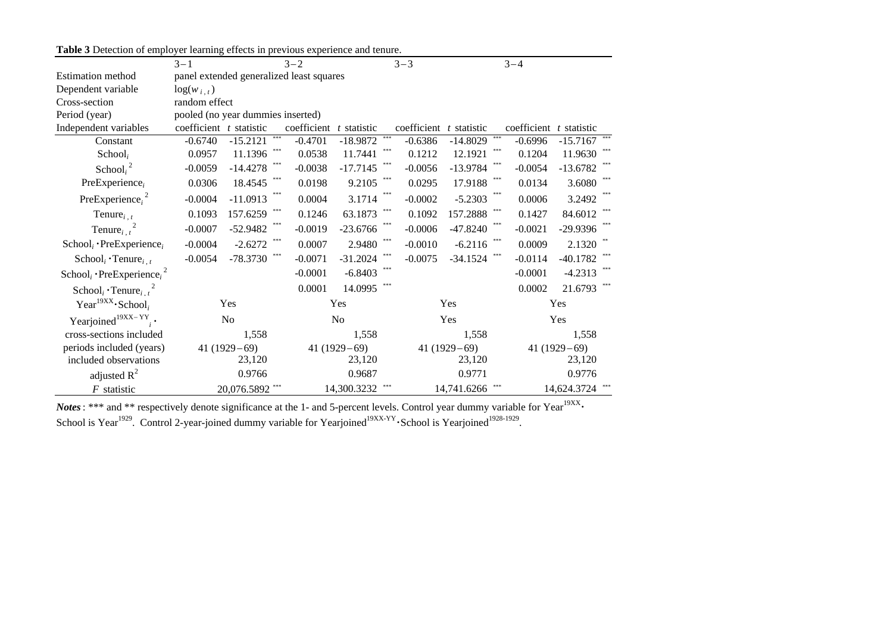| Table 3 Detection of employer learning effects in previous experience and tenure. |  |  |  |
|-----------------------------------------------------------------------------------|--|--|--|
|                                                                                   |  |  |  |

|                                                               | $3 - 1$                           |                 |             | $P22.2000$ $P12P21.0112$<br>$3 - 2$      |                |               | $3 - 3$     |               |               | $3 - 4$                 |                |         |
|---------------------------------------------------------------|-----------------------------------|-----------------|-------------|------------------------------------------|----------------|---------------|-------------|---------------|---------------|-------------------------|----------------|---------|
| <b>Estimation method</b>                                      |                                   |                 |             | panel extended generalized least squares |                |               |             |               |               |                         |                |         |
| Dependent variable                                            | $log(w_{i,t})$                    |                 |             |                                          |                |               |             |               |               |                         |                |         |
| Cross-section                                                 |                                   | random effect   |             |                                          |                |               |             |               |               |                         |                |         |
| Period (year)                                                 | pooled (no year dummies inserted) |                 |             |                                          |                |               |             |               |               |                         |                |         |
| Independent variables                                         | coefficient $t$ statistic         |                 |             | coefficient                              | t statistic    |               | coefficient | t statistic   |               | coefficient t statistic |                |         |
| Constant                                                      | $-0.6740$                         | $-15.2121$      | $\pm\pm\pm$ | $-0.4701$                                | $-18.9872$     | $\pm \pm \pm$ | $-0.6386$   | $-14.8029$    | $\pm \pm \pm$ | $-0.6996$               | $-15.7167$ *** |         |
| School <sub>i</sub>                                           | 0.0957                            | 11.1396         |             | 0.0538                                   | 11.7441        |               | 0.1212      | 12.1921       |               | 0.1204                  | 11.9630        |         |
| School, $^{2}$                                                | $-0.0059$                         | $-14.4278$      |             | $-0.0038$                                | $-17.7145$     |               | $-0.0056$   | $-13.9784$    |               | $-0.0054$               | $-13.6782$     |         |
| PreExperience,                                                | 0.0306                            | 18.4545         |             | 0.0198                                   | 9.2105         |               | 0.0295      | 17.9188       |               | 0.0134                  | 3.6080         |         |
| PreExperience <sub>i</sub> <sup>2</sup>                       | $-0.0004$                         | $-11.0913$      |             | 0.0004                                   | 3.1714         |               | $-0.0002$   | $-5.2303$     |               | 0.0006                  | 3.2492         |         |
| Tenure $_{i, t}$                                              | 0.1093                            | 157.6259        | $* * *$     | 0.1246                                   | 63.1873        | $* * *$       | 0.1092      | 157.2888      | $* * *$       | 0.1427                  | 84.6012        | $* * *$ |
| Tenure <sub>i</sub> $t^2$                                     | $-0.0007$                         | $-52.9482$      |             | $-0.0019$                                | $-23.6766$     |               | $-0.0006$   | $-47.8240$    |               | $-0.0021$               | $-29.9396$     |         |
| $Schooli \cdot Pre Experiencei$                               | $-0.0004$                         | $-2.6272$       |             | 0.0007                                   | 2.9480         |               | $-0.0010$   | $-6.2116$     |               | 0.0009                  | 2.1320         |         |
| $\text{School}_i \cdot \text{Tenure}_{i,t}$                   | $-0.0054$                         | $-78.3730$      |             | $-0.0071$                                | $-31.2024$     | $***$         | $-0.0075$   | $-34.1524$    |               | $-0.0114$               | $-40.1782$     |         |
| School <sub>i</sub> · PreExperience <sub>i</sub> <sup>2</sup> |                                   |                 |             | $-0.0001$                                | $-6.8403$      |               |             |               |               | $-0.0001$               | $-4.2313$      |         |
| School <sub>i</sub> Tenure, $\frac{2}{t}$                     |                                   |                 |             | 0.0001                                   | 14.0995        |               |             |               |               | 0.0002                  | 21.6793        |         |
| Year <sup>19XX</sup> $\cdot$ School <sub>i</sub>              |                                   | Yes             |             |                                          | Yes            |               |             | Yes           |               | Yes                     |                |         |
| Yearjoined <sup>19XX-YY</sup> .                               |                                   | N <sub>o</sub>  |             |                                          | N <sub>o</sub> |               |             | Yes           |               |                         | Yes            |         |
| cross-sections included                                       |                                   | 1,558           |             |                                          | 1,558          |               |             | 1,558         |               |                         | 1,558          |         |
| periods included (years)                                      |                                   | $41(1929-69)$   |             |                                          | $41(1929-69)$  |               |             | $41(1929-69)$ |               |                         | $41(1929-69)$  |         |
| included observations                                         |                                   | 23,120          |             |                                          | 23,120         |               |             | 23,120        |               |                         | 23,120         |         |
| adjusted $R^2$                                                |                                   | 0.9766          |             |                                          | 0.9687         |               |             | 0.9771        |               |                         | 0.9776         |         |
| $F$ statistic                                                 |                                   | 20,076.5892 *** |             |                                          | 14,300.3232    |               |             | 14,741.6266   |               |                         | 14,624.3724    |         |

*Notes*: \*\*\* and \*\* respectively denote significance at the 1- and 5-percent levels. Control year dummy variable for Year<sup>19XX</sup> School is Year<sup>1929</sup>. Control 2-year-joined dummy variable for Yearjoined<sup>19XX-YY</sup> School is Yearjoined<sup>1928-1929</sup>.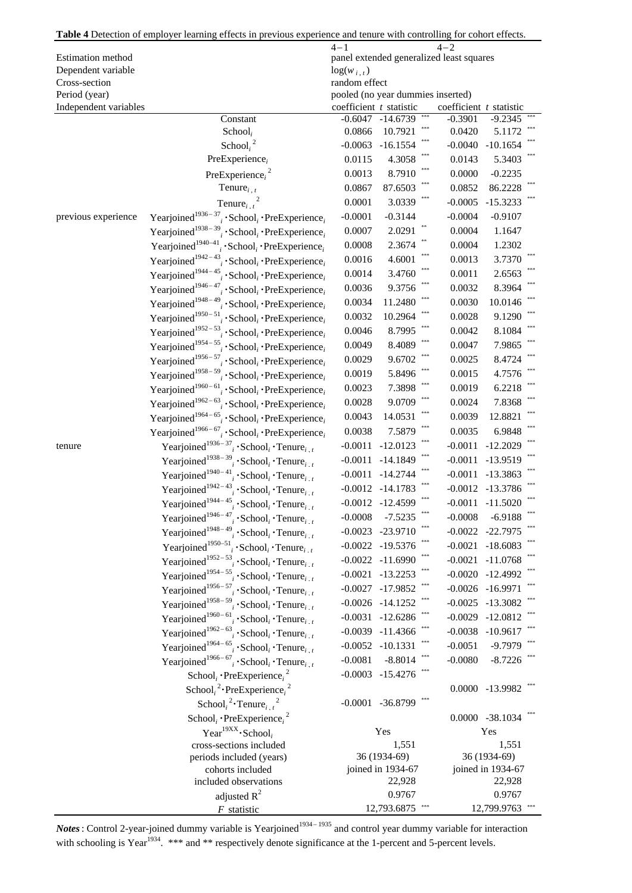|                                | Table 4 Detection of employer learning effects in previous experience and tenure with controlling for cohort effects. |                           |                                   |                                          |                        |
|--------------------------------|-----------------------------------------------------------------------------------------------------------------------|---------------------------|-----------------------------------|------------------------------------------|------------------------|
|                                |                                                                                                                       | $4 - 1$                   |                                   |                                          |                        |
| Estimation method              |                                                                                                                       |                           |                                   | panel extended generalized least squares |                        |
| Dependent variable             |                                                                                                                       | $log(w_{i,t})$            |                                   |                                          |                        |
| Cross-section<br>Period (year) |                                                                                                                       | random effect             | pooled (no year dummies inserted) |                                          |                        |
| Independent variables          |                                                                                                                       | coefficient $t$ statistic |                                   | coefficient t statistic                  |                        |
|                                | Constant                                                                                                              |                           | ***<br>$-0.6047 - 14.6739$        | $-0.3901$                                | $-9.2345$ ***          |
|                                | School <sub>i</sub>                                                                                                   | 0.0866                    | ***<br>10.7921                    | 0.0420                                   | 5.1172                 |
|                                | School, $^{2}$                                                                                                        | $-0.0063$                 | ***<br>$-16.1554$                 | $-0.0040$                                | $-10.1654$             |
|                                | $PreExperience_i$                                                                                                     | 0.0115                    | 4.3058                            | 0.0143                                   | 5.3403                 |
|                                | Pre $Experience_i^2$                                                                                                  | 0.0013                    | 8.7910                            | 0.0000                                   | $-0.2235$              |
|                                | Tenure $_{i, t}$                                                                                                      | 0.0867                    | ***<br>87.6503                    | 0.0852                                   | 86.2228                |
|                                | Tenure <sub>i</sub> $t^2$                                                                                             | 0.0001                    | ***<br>3.0339                     | $-0.0005$                                | $-15.3233$             |
| previous experience            | Yearjoined <sup>1936-37</sup> ; $\cdot$ School; $\cdot$ PreExperience;                                                | $-0.0001$                 | $-0.3144$                         | $-0.0004$                                | $-0.9107$              |
|                                | Yearjoined <sup>1938-39</sup> <sub>i</sub> · School <sub>i</sub> · PreExperience <sub>i</sub>                         | 0.0007                    | 2.0291                            | 0.0004                                   | 1.1647                 |
|                                | Yearjoined <sup>1940–41</sup> ; School; PreExperience;                                                                | 0.0008                    | 2.3674                            | 0.0004                                   | 1.2302                 |
|                                | Yearjoined <sup>1942-43</sup> ; 'School; 'PreExperience;                                                              | 0.0016                    | ***<br>4.6001                     | 0.0013                                   | 3.7370                 |
|                                |                                                                                                                       | 0.0014                    | ***<br>3.4760                     | 0.0011                                   | 2.6563                 |
|                                | Yearjoined <sup>1944-45</sup> ; $\cdot$ School; $\cdot$ PreExperience;                                                |                           |                                   | 0.0032                                   | 8.3964                 |
|                                | Yearjoined <sup>1946-47</sup> <sub>i</sub> · School <sub>i</sub> · PreExperience <sub>i</sub>                         | 0.0036                    | 9.3756<br>$***$<br>11.2480        |                                          |                        |
|                                | Yearjoined <sup>1948-49</sup> : School <sub>i</sub> · PreExperience <sub>i</sub>                                      | 0.0034                    | ***                               | 0.0030                                   | 10.0146                |
|                                | Yearjoined <sup>1950-51</sup> ; $\cdot$ School; $\cdot$ PreExperience;                                                | 0.0032                    | 10.2964                           | 0.0028                                   | 9.1290                 |
|                                | Yearjoined <sup>1952-53</sup> ; School; PreExperience;                                                                | 0.0046                    | 8.7995                            | 0.0042                                   | 8.1084                 |
|                                | Yearjoined <sup>1954-55</sup> ; $\cdot$ School <sub>i</sub> $\cdot$ PreExperience <sub>i</sub>                        | 0.0049                    | 8.4089<br>***                     | 0.0047                                   | 7.9865                 |
|                                | Yearjoined <sup>1956-57</sup> ; $\cdot$ School <sub>i</sub> $\cdot$ PreExperience <sub>i</sub>                        | 0.0029                    | 9.6702<br>***                     | 0.0025                                   | 8.4724                 |
|                                | Yearjoined <sup>1958-59</sup> ; 'School <sub>i</sub> 'PreExperience <sub>i</sub>                                      | 0.0019                    | 5.8496<br>***                     | 0.0015                                   | 4.7576                 |
|                                | Yearjoined <sup>1960-61</sup> ; $\cdot$ School; $\cdot$ PreExperience <sub>i</sub>                                    | 0.0023                    | 7.3898                            | 0.0019                                   | 6.2218                 |
|                                | Yearjoined <sup>1962-63</sup> <sub>i</sub> · School <sub>i</sub> · PreExperience <sub>i</sub>                         | 0.0028                    | ***<br>9.0709                     | 0.0024                                   | 7.8368                 |
|                                | Yearjoined <sup>1964-65</sup> <sub>i</sub> · School <sub>i</sub> · PreExperience <sub>i</sub>                         | 0.0043                    | ***<br>14.0531                    | 0.0039                                   | 12.8821                |
|                                | Yearjoined <sup>1966-67</sup> ; $\cdot$ School <sub>i</sub> $\cdot$ PreExperience <sub>i</sub>                        | 0.0038                    | ***<br>7.5879                     | 0.0035                                   | 6.9848                 |
| tenure                         | Yearjoined <sup>1936-37</sup> <sub>i</sub> · School <sub>i</sub> · Tenure <sub>i. t</sub>                             | $-0.0011$                 | ***<br>$-12.0123$                 | $-0.0011$                                | $-12.2029$             |
|                                | Yearjoined <sup>1938-39</sup> ; $\cdot$ School <sub>i</sub> $\cdot$ Tenure <sub>i.t</sub>                             | $-0.0011$                 | $-14.1849$                        | $-0.0011$                                | $-13.9519$             |
|                                | Yearjoined <sup>1940-41</sup> ; $\cdot$ School <sub>i</sub> $\cdot$ Tenure <sub>i.t</sub>                             | $-0.0011$                 | $-14.2744$                        | $-0.0011$                                | $-13.3863$             |
|                                | Yearjoined <sup>1942-43</sup> <sub>i</sub> · School <sub>i</sub> · Tenure <sub>i.t</sub>                              |                           | $-0.0012 -14.1783$                |                                          | $-0.0012$ $-13.3786$   |
|                                | Yearjoined <sup>1944-45</sup> : School <sub>i</sub> · Tenure <sub>i.t</sub>                                           |                           | $-0.0012 -12.4599$                |                                          | $-0.0011 -11.5020$ *** |
|                                | Yearjoined <sup>1946-47</sup> <sub>i</sub> · School <sub>i</sub> · Tenure <sub>i.t</sub>                              | $-0.0008$                 | $-7.5235$                         | $-0.0008$                                | $-6.9188$              |
|                                | Yearjoined <sup>1948-49</sup> · School <sub>i</sub> · Tenure <sub>i. t</sub>                                          |                           | $-0.0023 -23.9710$                |                                          | $-0.0022$ $-22.7975$   |
|                                | Yearjoined <sup>1950–51</sup> ; 'School; 'Tenure;                                                                     |                           | $-0.0022 - 19.5376$               |                                          | $-0.0021 - 18.6083$    |
|                                | Yearjoined <sup>1952–53</sup> · School <sub>i</sub> · Tenure <sub>i.t</sub>                                           | $-0.0022$                 | $-11.6990$                        |                                          | $-0.0021 -11.0768$     |
|                                | Yearjoined <sup>1954–55</sup> <sub>i</sub> · School <sub>i</sub> · Tenure <sub>i.t</sub>                              | $-0.0021$                 | $-13.2253$                        |                                          | $-0.0020 -12.4992$     |
|                                | Yearjoined <sup>1956–57</sup> : School <sub>i</sub> · Tenure <sub>i, t</sub>                                          |                           | $-0.0027 -17.9852$                |                                          | $-0.0026 - 16.9971$    |
|                                | Yearjoined <sup>1958-59</sup> : School <sub>i</sub> · Tenure <sub>i.t</sub>                                           |                           | $-0.0026 -14.1252$                |                                          | $-0.0025$ $-13.3082$   |
|                                | Yearjoined <sup>1960-61</sup> : School <sub>i</sub> · Tenure <sub>i.t</sub>                                           | $-0.0031$                 | $-12.6286$                        |                                          | $-0.0029 -12.0812$     |
|                                | Yearjoined <sup>1962-63</sup> <sub>i</sub> · School <sub>i</sub> · Tenure <sub>i.t</sub>                              |                           | $-0.0039 -11.4366$                |                                          | $-0.0038 - 10.9617$    |
|                                | Yearjoined <sup>1964-65</sup> <sub>i</sub> · School <sub>i</sub> · Tenure <sub>i.t</sub>                              |                           | $-0.0052 - 10.1331$               | $-0.0051$                                | $-9.7979$              |
|                                | Yearjoined <sup>1966–67</sup> : School <sub>i</sub> · Tenure <sub>i, t</sub>                                          | $-0.0081$                 | $-8.8014$                         | $-0.0080$                                | $-8.7226$              |
|                                | School <sub>i</sub> · PreExperience <sub>i</sub> <sup>2</sup>                                                         |                           | $-0.0003 - 15.4276$               |                                          |                        |
|                                | School, <sup>2</sup> ·PreExperience, <sup>2</sup>                                                                     |                           |                                   |                                          | $0.0000 - 13.9982$ *** |
|                                | School, $2 \cdot$ Tenure, $\frac{2}{t}$                                                                               |                           | $-0.0001 - 36.8799$               |                                          |                        |
|                                | School <sub>i</sub> · PreExperience <sub>i</sub> <sup>2</sup>                                                         |                           |                                   |                                          | 0.0000 -38.1034        |
|                                | Year <sup>19XX</sup> $\cdot$ School <sub>i</sub>                                                                      |                           | Yes                               |                                          | Yes                    |
|                                | cross-sections included                                                                                               |                           | 1,551                             |                                          | 1,551                  |
|                                | periods included (years)                                                                                              |                           | 36 (1934-69)                      |                                          | 36 (1934-69)           |
|                                | cohorts included                                                                                                      |                           | joined in 1934-67                 |                                          | joined in 1934-67      |
|                                | included observations                                                                                                 |                           | 22,928                            |                                          | 22,928                 |
|                                | adjusted $R^2$                                                                                                        |                           | 0.9767                            |                                          | 0.9767                 |
|                                | $F$ statistic                                                                                                         |                           | 12,793.6875                       |                                          | 12,799.9763            |

*Notes*: Control 2-year-joined dummy variable is Yearjoined<sup>1934–1935</sup> and control year dummy variable for interaction with schooling is Year<sup>1934</sup>. \*\*\* and \*\* respectively denote significance at the 1-percent and 5-percent levels.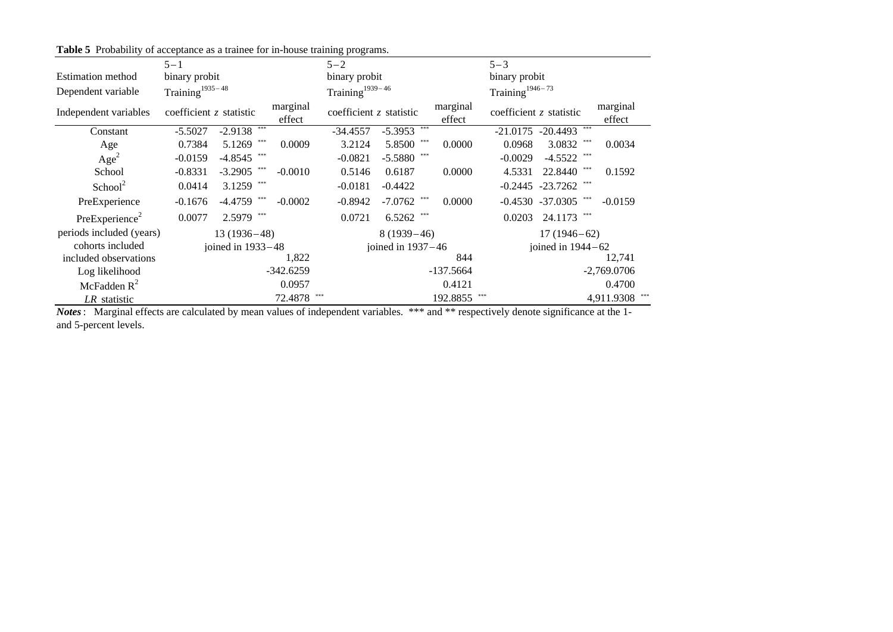|                            |                           |                   |                    | of acceptance as a trainee for in nouse training programs. |                          |                    |                             |                        |                    |
|----------------------------|---------------------------|-------------------|--------------------|------------------------------------------------------------|--------------------------|--------------------|-----------------------------|------------------------|--------------------|
|                            | $5 - 1$                   |                   |                    | $5 - 2$                                                    |                          |                    | $5 - 3$                     |                        |                    |
| <b>Estimation</b> method   | binary probit             |                   |                    | binary probit                                              |                          |                    | binary probit               |                        |                    |
| Dependent variable         | Training $1935-48$        |                   |                    | Training $1939-46$                                         |                          |                    | Training <sup>1946-73</sup> |                        |                    |
| Independent variables      | coefficient $z$ statistic |                   | marginal<br>effect | coefficient $z$ statistic                                  |                          | marginal<br>effect | coefficient $z$ statistic   |                        | marginal<br>effect |
| Constant                   | $-5.5027$                 | $-2.9138$         |                    | $-34.4557$                                                 | $-5.3953$ <sup>***</sup> |                    |                             | $-21.0175 - 20.4493$   |                    |
| Age                        | 0.7384                    | 5.1269            | 0.0009             | 3.2124                                                     | 5.8500                   | 0.0000             | 0.0968                      | 3.0832                 | 0.0034             |
| Age <sup>2</sup>           | $-0.0159$                 | $-4.8545$ ***     |                    | $-0.0821$                                                  | $-5.5880$ ***            |                    | $-0.0029$                   | $-4.5522$ ***          |                    |
| School                     | $-0.8331$                 | $-3.2905$         | $-0.0010$          | 0.5146                                                     | 0.6187                   | 0.0000             | 4.5331                      | 22.8440                | 0.1592             |
| School <sup>2</sup>        | 0.0414                    | $3.1259$ ***      |                    | $-0.0181$                                                  | $-0.4422$                |                    |                             | $-0.2445 -23.7262$ *** |                    |
| PreExperience              | $-0.1676$                 | -4.4759           | $-0.0002$          | $-0.8942$                                                  | $-7.0762$                | 0.0000             |                             | $-0.4530 -37.0305$ *** | $-0.0159$          |
| PreExperience <sup>2</sup> | 0.0077                    | 2.5979 ***        |                    | 0.0721                                                     | $6.5262$ ***             |                    | 0.0203                      | 24.1173 ***            |                    |
| periods included (years)   |                           | $13(1936-48)$     |                    |                                                            | $8(1939-46)$             |                    | $17(1946-62)$               |                        |                    |
| cohorts included           |                           | joined in 1933-48 |                    |                                                            | joined in $1937-46$      |                    |                             | joined in $1944-62$    |                    |
| included observations      |                           |                   | 1,822              |                                                            |                          | 844                |                             |                        | 12,741             |
| Log likelihood             |                           |                   | $-342.6259$        |                                                            |                          | $-137.5664$        |                             |                        | $-2,769.0706$      |
| McFadden $R^2$             |                           |                   | 0.0957             |                                                            |                          | 0.4121             |                             |                        | 0.4700             |
| LR statistic               |                           |                   | 72.4878            | ***                                                        |                          | 192.8855           |                             |                        | 4,911.9308 ***     |

**Table 5** Probability of acceptance as a trainee for in-house training programs.

*Notes*: Marginal effects are calculated by mean values of independent variables. \*\*\* and \*\* respectively denote significance at the 1 and 5-percent levels.